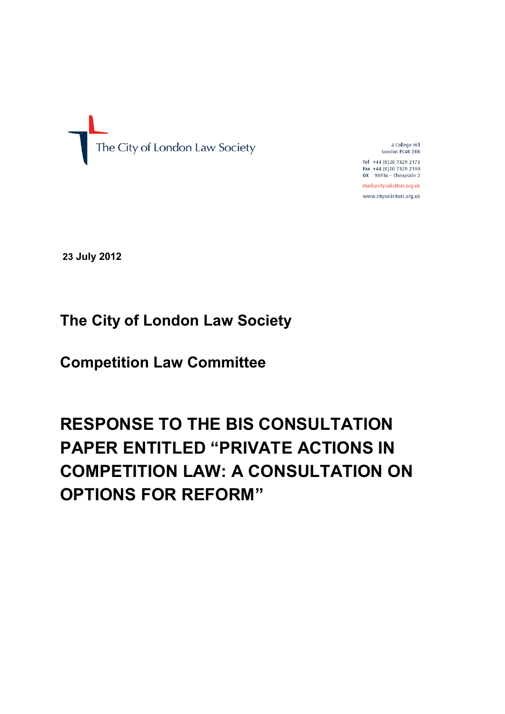

4 College Hill London EC4R 2RB

Tel +44 (0)20 7329 2173 Fax +44 (0)20 7329 2190 DX 98936 - Cheapside 2

mail@citysolicitors.org.uk www.citysolicitors.org.uk

**23 July 2012**

# **The City of London Law Society**

**Competition Law Committee** 

# **RESPONSE TO THE BIS CONSULTATION PAPER ENTITLED "PRIVATE ACTIONS IN COMPETITION LAW: A CONSULTATION ON OPTIONS FOR REFORM"**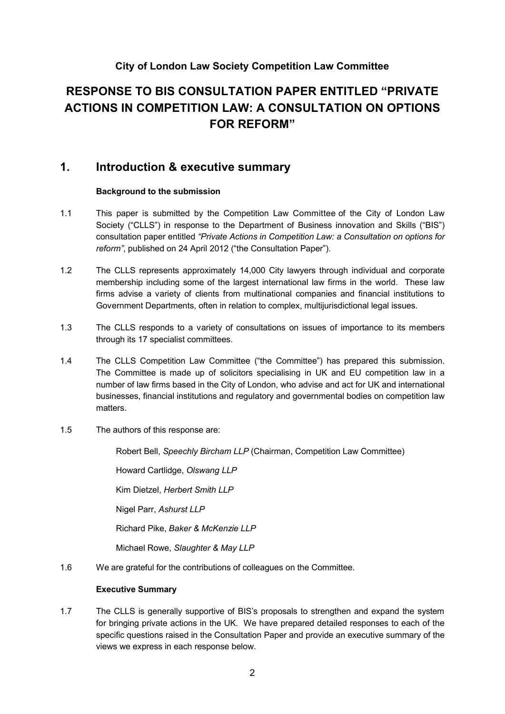# **City of London Law Society Competition Law Committee**

# **RESPONSE TO BIS CONSULTATION PAPER ENTITLED "PRIVATE ACTIONS IN COMPETITION LAW: A CONSULTATION ON OPTIONS FOR REFORM"**

# **1. Introduction & executive summary**

#### **Background to the submission**

- 1.1 This paper is submitted by the Competition Law Committee of the City of London Law Society ("CLLS") in response to the Department of Business innovation and Skills ("BIS") consultation paper entitled *"Private Actions in Competition Law: a Consultation on options for reform"*, published on 24 April 2012 ("the Consultation Paper").
- 1.2 The CLLS represents approximately 14,000 City lawyers through individual and corporate membership including some of the largest international law firms in the world. These law firms advise a variety of clients from multinational companies and financial institutions to Government Departments, often in relation to complex, multijurisdictional legal issues.
- 1.3 The CLLS responds to a variety of consultations on issues of importance to its members through its 17 specialist committees.
- 1.4 The CLLS Competition Law Committee ("the Committee") has prepared this submission. The Committee is made up of solicitors specialising in UK and EU competition law in a number of law firms based in the City of London, who advise and act for UK and international businesses, financial institutions and regulatory and governmental bodies on competition law matters.
- 1.5 The authors of this response are:

Robert Bell, *Speechly Bircham LLP* (Chairman, Competition Law Committee)

Howard Cartlidge, *Olswang LLP*

Kim Dietzel, *Herbert Smith LLP*

Nigel Parr, *Ashurst LLP*

Richard Pike, *Baker & McKenzie LLP*

Michael Rowe, *Slaughter & May LLP*

1.6 We are grateful for the contributions of colleagues on the Committee.

#### **Executive Summary**

1.7 The CLLS is generally supportive of BIS's proposals to strengthen and expand the system for bringing private actions in the UK. We have prepared detailed responses to each of the specific questions raised in the Consultation Paper and provide an executive summary of the views we express in each response below.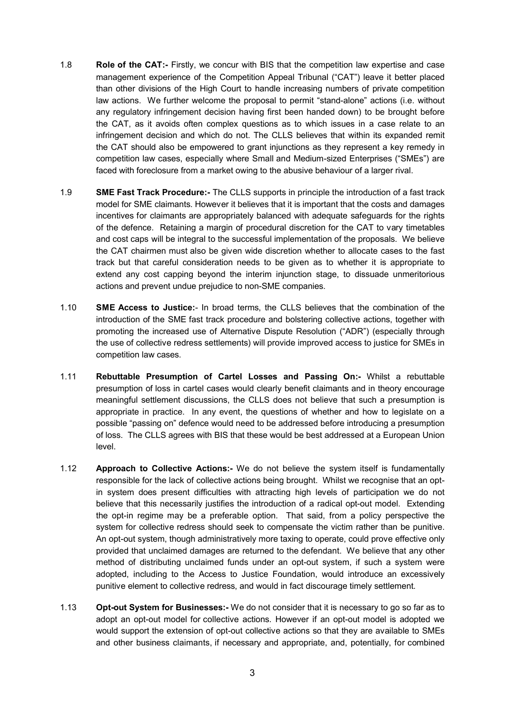- 1.8 **Role of the CAT:-** Firstly, we concur with BIS that the competition law expertise and case management experience of the Competition Appeal Tribunal ("CAT") leave it better placed than other divisions of the High Court to handle increasing numbers of private competition law actions. We further welcome the proposal to permit "stand-alone" actions (i.e. without any regulatory infringement decision having first been handed down) to be brought before the CAT, as it avoids often complex questions as to which issues in a case relate to an infringement decision and which do not. The CLLS believes that within its expanded remit the CAT should also be empowered to grant injunctions as they represent a key remedy in competition law cases, especially where Small and Medium-sized Enterprises ("SMEs") are faced with foreclosure from a market owing to the abusive behaviour of a larger rival.
- 1.9 **SME Fast Track Procedure:-** The CLLS supports in principle the introduction of a fast track model for SME claimants. However it believes that it is important that the costs and damages incentives for claimants are appropriately balanced with adequate safeguards for the rights of the defence. Retaining a margin of procedural discretion for the CAT to vary timetables and cost caps will be integral to the successful implementation of the proposals. We believe the CAT chairmen must also be given wide discretion whether to allocate cases to the fast track but that careful consideration needs to be given as to whether it is appropriate to extend any cost capping beyond the interim injunction stage, to dissuade unmeritorious actions and prevent undue prejudice to non-SME companies.
- 1.10 **SME Access to Justice:** In broad terms, the CLLS believes that the combination of the introduction of the SME fast track procedure and bolstering collective actions, together with promoting the increased use of Alternative Dispute Resolution ("ADR") (especially through the use of collective redress settlements) will provide improved access to justice for SMEs in competition law cases.
- 1.11 **Rebuttable Presumption of Cartel Losses and Passing On:-** Whilst a rebuttable presumption of loss in cartel cases would clearly benefit claimants and in theory encourage meaningful settlement discussions, the CLLS does not believe that such a presumption is appropriate in practice. In any event, the questions of whether and how to legislate on a possible "passing on" defence would need to be addressed before introducing a presumption of loss. The CLLS agrees with BIS that these would be best addressed at a European Union level.
- 1.12 **Approach to Collective Actions:-** We do not believe the system itself is fundamentally responsible for the lack of collective actions being brought. Whilst we recognise that an optin system does present difficulties with attracting high levels of participation we do not believe that this necessarily justifies the introduction of a radical opt-out model. Extending the opt-in regime may be a preferable option. That said, from a policy perspective the system for collective redress should seek to compensate the victim rather than be punitive. An opt-out system, though administratively more taxing to operate, could prove effective only provided that unclaimed damages are returned to the defendant. We believe that any other method of distributing unclaimed funds under an opt-out system, if such a system were adopted, including to the Access to Justice Foundation, would introduce an excessively punitive element to collective redress, and would in fact discourage timely settlement.
- 1.13 **Opt-out System for Businesses:-** We do not consider that it is necessary to go so far as to adopt an opt-out model for collective actions. However if an opt-out model is adopted we would support the extension of opt-out collective actions so that they are available to SMEs and other business claimants, if necessary and appropriate, and, potentially, for combined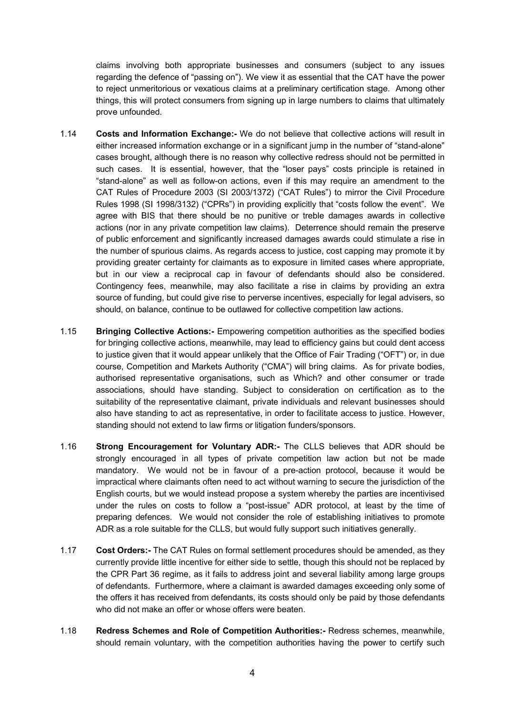claims involving both appropriate businesses and consumers (subject to any issues regarding the defence of "passing on"). We view it as essential that the CAT have the power to reject unmeritorious or vexatious claims at a preliminary certification stage. Among other things, this will protect consumers from signing up in large numbers to claims that ultimately prove unfounded.

- 1.14 **Costs and Information Exchange:-** We do not believe that collective actions will result in either increased information exchange or in a significant jump in the number of "stand-alone" cases brought, although there is no reason why collective redress should not be permitted in such cases. It is essential, however, that the "loser pays" costs principle is retained in "stand-alone" as well as follow-on actions, even if this may require an amendment to the CAT Rules of Procedure 2003 (SI 2003/1372) ("CAT Rules") to mirror the Civil Procedure Rules 1998 (SI 1998/3132) ("CPRs") in providing explicitly that "costs follow the event". We agree with BIS that there should be no punitive or treble damages awards in collective actions (nor in any private competition law claims). Deterrence should remain the preserve of public enforcement and significantly increased damages awards could stimulate a rise in the number of spurious claims. As regards access to justice, cost capping may promote it by providing greater certainty for claimants as to exposure in limited cases where appropriate, but in our view a reciprocal cap in favour of defendants should also be considered. Contingency fees, meanwhile, may also facilitate a rise in claims by providing an extra source of funding, but could give rise to perverse incentives, especially for legal advisers, so should, on balance, continue to be outlawed for collective competition law actions.
- 1.15 **Bringing Collective Actions:-** Empowering competition authorities as the specified bodies for bringing collective actions, meanwhile, may lead to efficiency gains but could dent access to justice given that it would appear unlikely that the Office of Fair Trading ("OFT") or, in due course, Competition and Markets Authority ("CMA") will bring claims. As for private bodies, authorised representative organisations, such as Which? and other consumer or trade associations, should have standing. Subject to consideration on certification as to the suitability of the representative claimant, private individuals and relevant businesses should also have standing to act as representative, in order to facilitate access to justice. However, standing should not extend to law firms or litigation funders/sponsors.
- 1.16 **Strong Encouragement for Voluntary ADR:-** The CLLS believes that ADR should be strongly encouraged in all types of private competition law action but not be made mandatory. We would not be in favour of a pre-action protocol, because it would be impractical where claimants often need to act without warning to secure the jurisdiction of the English courts, but we would instead propose a system whereby the parties are incentivised under the rules on costs to follow a "post-issue" ADR protocol, at least by the time of preparing defences. We would not consider the role of establishing initiatives to promote ADR as a role suitable for the CLLS, but would fully support such initiatives generally.
- 1.17 **Cost Orders:-** The CAT Rules on formal settlement procedures should be amended, as they currently provide little incentive for either side to settle, though this should not be replaced by the CPR Part 36 regime, as it fails to address joint and several liability among large groups of defendants. Furthermore, where a claimant is awarded damages exceeding only some of the offers it has received from defendants, its costs should only be paid by those defendants who did not make an offer or whose offers were beaten.
- 1.18 **Redress Schemes and Role of Competition Authorities:-** Redress schemes, meanwhile, should remain voluntary, with the competition authorities having the power to certify such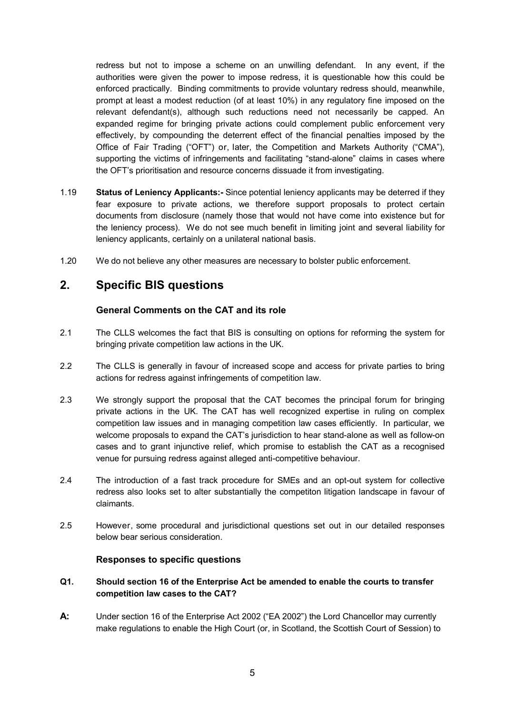redress but not to impose a scheme on an unwilling defendant. In any event, if the authorities were given the power to impose redress, it is questionable how this could be enforced practically. Binding commitments to provide voluntary redress should, meanwhile, prompt at least a modest reduction (of at least 10%) in any regulatory fine imposed on the relevant defendant(s), although such reductions need not necessarily be capped. An expanded regime for bringing private actions could complement public enforcement very effectively, by compounding the deterrent effect of the financial penalties imposed by the Office of Fair Trading ("OFT") or, later, the Competition and Markets Authority ("CMA"), supporting the victims of infringements and facilitating "stand-alone" claims in cases where the OFT's prioritisation and resource concerns dissuade it from investigating.

- 1.19 **Status of Leniency Applicants:-** Since potential leniency applicants may be deterred if they fear exposure to private actions, we therefore support proposals to protect certain documents from disclosure (namely those that would not have come into existence but for the leniency process). We do not see much benefit in limiting joint and several liability for leniency applicants, certainly on a unilateral national basis.
- 1.20 We do not believe any other measures are necessary to bolster public enforcement.

# **2. Specific BIS questions**

# **General Comments on the CAT and its role**

- 2.1 The CLLS welcomes the fact that BIS is consulting on options for reforming the system for bringing private competition law actions in the UK.
- 2.2 The CLLS is generally in favour of increased scope and access for private parties to bring actions for redress against infringements of competition law.
- 2.3 We strongly support the proposal that the CAT becomes the principal forum for bringing private actions in the UK. The CAT has well recognized expertise in ruling on complex competition law issues and in managing competition law cases efficiently. In particular, we welcome proposals to expand the CAT's jurisdiction to hear stand-alone as well as follow-on cases and to grant injunctive relief, which promise to establish the CAT as a recognised venue for pursuing redress against alleged anti-competitive behaviour.
- 2.4 The introduction of a fast track procedure for SMEs and an opt-out system for collective redress also looks set to alter substantially the competiton litigation landscape in favour of claimants.
- 2.5 However, some procedural and jurisdictional questions set out in our detailed responses below bear serious consideration.

#### **Responses to specific questions**

## **Q1. Should section 16 of the Enterprise Act be amended to enable the courts to transfer competition law cases to the CAT?**

**A:** Under section 16 of the Enterprise Act 2002 ("EA 2002") the Lord Chancellor may currently make regulations to enable the High Court (or, in Scotland, the Scottish Court of Session) to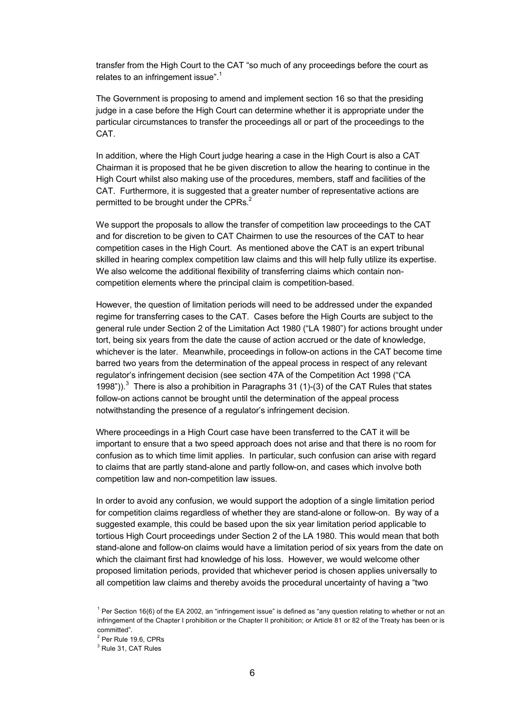transfer from the High Court to the CAT "so much of any proceedings before the court as relates to an infringement issue".<sup>1</sup>

The Government is proposing to amend and implement section 16 so that the presiding judge in a case before the High Court can determine whether it is appropriate under the particular circumstances to transfer the proceedings all or part of the proceedings to the CAT.

In addition, where the High Court judge hearing a case in the High Court is also a CAT Chairman it is proposed that he be given discretion to allow the hearing to continue in the High Court whilst also making use of the procedures, members, staff and facilities of the CAT. Furthermore, it is suggested that a greater number of representative actions are permitted to be brought under the CPRs.<sup>2</sup>

We support the proposals to allow the transfer of competition law proceedings to the CAT and for discretion to be given to CAT Chairmen to use the resources of the CAT to hear competition cases in the High Court. As mentioned above the CAT is an expert tribunal skilled in hearing complex competition law claims and this will help fully utilize its expertise. We also welcome the additional flexibility of transferring claims which contain noncompetition elements where the principal claim is competition-based.

However, the question of limitation periods will need to be addressed under the expanded regime for transferring cases to the CAT. Cases before the High Courts are subject to the general rule under Section 2 of the Limitation Act 1980 ("LA 1980") for actions brought under tort, being six years from the date the cause of action accrued or the date of knowledge, whichever is the later. Meanwhile, proceedings in follow-on actions in the CAT become time barred two years from the determination of the appeal process in respect of any relevant regulator's infringement decision (see section 47A of the Competition Act 1998 ("CA 1998")).<sup>3</sup> There is also a prohibition in Paragraphs 31 (1)-(3) of the CAT Rules that states follow-on actions cannot be brought until the determination of the appeal process notwithstanding the presence of a regulator's infringement decision.

Where proceedings in a High Court case have been transferred to the CAT it will be important to ensure that a two speed approach does not arise and that there is no room for confusion as to which time limit applies. In particular, such confusion can arise with regard to claims that are partly stand-alone and partly follow-on, and cases which involve both competition law and non-competition law issues.

In order to avoid any confusion, we would support the adoption of a single limitation period for competition claims regardless of whether they are stand-alone or follow-on. By way of a suggested example, this could be based upon the six year limitation period applicable to tortious High Court proceedings under Section 2 of the LA 1980. This would mean that both stand-alone and follow-on claims would have a limitation period of six years from the date on which the claimant first had knowledge of his loss. However, we would welcome other proposed limitation periods, provided that whichever period is chosen applies universally to all competition law claims and thereby avoids the procedural uncertainty of having a "two

 $1$  Per Section 16(6) of the EA 2002, an "infringement issue" is defined as "any question relating to whether or not an infringement of the Chapter I prohibition or the Chapter II prohibition; or Article 81 or 82 of the Treaty has been or is committed".

<sup>2</sup> Per Rule 19.6, CPRs

<sup>&</sup>lt;sup>3</sup> Rule 31, CAT Rules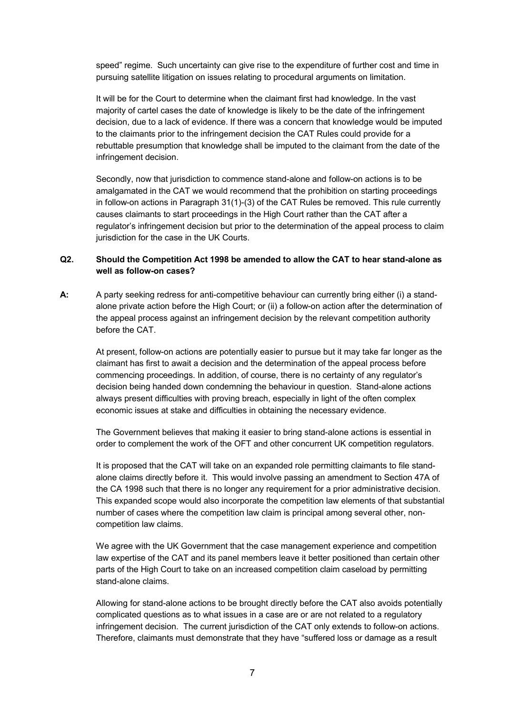speed" regime. Such uncertainty can give rise to the expenditure of further cost and time in pursuing satellite litigation on issues relating to procedural arguments on limitation.

It will be for the Court to determine when the claimant first had knowledge. In the vast majority of cartel cases the date of knowledge is likely to be the date of the infringement decision, due to a lack of evidence. If there was a concern that knowledge would be imputed to the claimants prior to the infringement decision the CAT Rules could provide for a rebuttable presumption that knowledge shall be imputed to the claimant from the date of the infringement decision.

Secondly, now that jurisdiction to commence stand-alone and follow-on actions is to be amalgamated in the CAT we would recommend that the prohibition on starting proceedings in follow-on actions in Paragraph 31(1)-(3) of the CAT Rules be removed. This rule currently causes claimants to start proceedings in the High Court rather than the CAT after a regulator's infringement decision but prior to the determination of the appeal process to claim jurisdiction for the case in the UK Courts.

#### **Q2. Should the Competition Act 1998 be amended to allow the CAT to hear stand-alone as well as follow-on cases?**

**A:** A party seeking redress for anti-competitive behaviour can currently bring either (i) a standalone private action before the High Court; or (ii) a follow-on action after the determination of the appeal process against an infringement decision by the relevant competition authority before the CAT.

At present, follow-on actions are potentially easier to pursue but it may take far longer as the claimant has first to await a decision and the determination of the appeal process before commencing proceedings. In addition, of course, there is no certainty of any regulator's decision being handed down condemning the behaviour in question. Stand-alone actions always present difficulties with proving breach, especially in light of the often complex economic issues at stake and difficulties in obtaining the necessary evidence.

The Government believes that making it easier to bring stand-alone actions is essential in order to complement the work of the OFT and other concurrent UK competition regulators.

It is proposed that the CAT will take on an expanded role permitting claimants to file standalone claims directly before it. This would involve passing an amendment to Section 47A of the CA 1998 such that there is no longer any requirement for a prior administrative decision. This expanded scope would also incorporate the competition law elements of that substantial number of cases where the competition law claim is principal among several other, noncompetition law claims.

We agree with the UK Government that the case management experience and competition law expertise of the CAT and its panel members leave it better positioned than certain other parts of the High Court to take on an increased competition claim caseload by permitting stand-alone claims.

Allowing for stand-alone actions to be brought directly before the CAT also avoids potentially complicated questions as to what issues in a case are or are not related to a regulatory infringement decision. The current jurisdiction of the CAT only extends to follow-on actions. Therefore, claimants must demonstrate that they have "suffered loss or damage as a result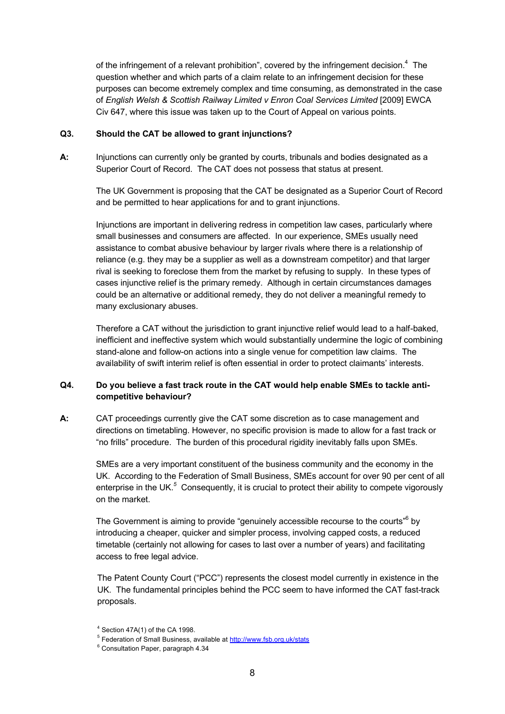of the infringement of a relevant prohibition", covered by the infringement decision. $4$  The question whether and which parts of a claim relate to an infringement decision for these purposes can become extremely complex and time consuming, as demonstrated in the case of *English Welsh & Scottish Railway Limited v Enron Coal Services Limited* [2009] EWCA Civ 647, where this issue was taken up to the Court of Appeal on various points.

#### **Q3. Should the CAT be allowed to grant injunctions?**

**A:** Injunctions can currently only be granted by courts, tribunals and bodies designated as a Superior Court of Record. The CAT does not possess that status at present.

The UK Government is proposing that the CAT be designated as a Superior Court of Record and be permitted to hear applications for and to grant injunctions.

Injunctions are important in delivering redress in competition law cases, particularly where small businesses and consumers are affected. In our experience, SMEs usually need assistance to combat abusive behaviour by larger rivals where there is a relationship of reliance (e.g. they may be a supplier as well as a downstream competitor) and that larger rival is seeking to foreclose them from the market by refusing to supply. In these types of cases injunctive relief is the primary remedy. Although in certain circumstances damages could be an alternative or additional remedy, they do not deliver a meaningful remedy to many exclusionary abuses.

Therefore a CAT without the jurisdiction to grant injunctive relief would lead to a half-baked, inefficient and ineffective system which would substantially undermine the logic of combining stand-alone and follow-on actions into a single venue for competition law claims. The availability of swift interim relief is often essential in order to protect claimants' interests.

#### **Q4. Do you believe a fast track route in the CAT would help enable SMEs to tackle anticompetitive behaviour?**

**A:** CAT proceedings currently give the CAT some discretion as to case management and directions on timetabling. However, no specific provision is made to allow for a fast track or "no frills" procedure. The burden of this procedural rigidity inevitably falls upon SMEs.

SMEs are a very important constituent of the business community and the economy in the UK. According to the Federation of Small Business, SMEs account for over 90 per cent of all enterprise in the UK.<sup>5</sup> Consequently, it is crucial to protect their ability to compete vigorously on the market.

The Government is aiming to provide "genuinely accessible recourse to the courts"<sup>6</sup> by introducing a cheaper, quicker and simpler process, involving capped costs, a reduced timetable (certainly not allowing for cases to last over a number of years) and facilitating access to free legal advice.

The Patent County Court ("PCC") represents the closest model currently in existence in the UK. The fundamental principles behind the PCC seem to have informed the CAT fast-track proposals.

 $4$  Section 47A(1) of the CA 1998.

<sup>&</sup>lt;sup>5</sup> Federation of Small Business, available at http://www.fsb.org.uk/stats

<sup>6</sup> Consultation Paper, paragraph 4.34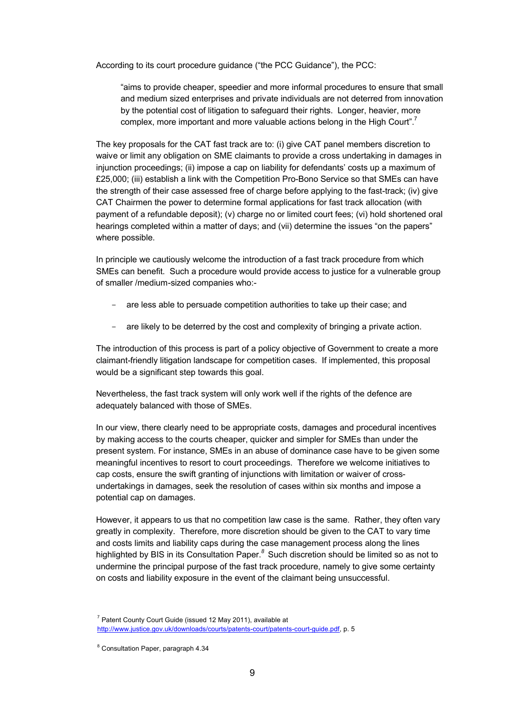According to its court procedure guidance ("the PCC Guidance"), the PCC:

"aims to provide cheaper, speedier and more informal procedures to ensure that small and medium sized enterprises and private individuals are not deterred from innovation by the potential cost of litigation to safeguard their rights. Longer, heavier, more complex, more important and more valuable actions belong in the High Court".<sup>7</sup>

The key proposals for the CAT fast track are to: (i) give CAT panel members discretion to waive or limit any obligation on SME claimants to provide a cross undertaking in damages in injunction proceedings; (ii) impose a cap on liability for defendants' costs up a maximum of £25,000; (iii) establish a link with the Competition Pro-Bono Service so that SMEs can have the strength of their case assessed free of charge before applying to the fast-track; (iv) give CAT Chairmen the power to determine formal applications for fast track allocation (with payment of a refundable deposit); (v) charge no or limited court fees; (vi) hold shortened oral hearings completed within a matter of days; and (vii) determine the issues "on the papers" where possible.

In principle we cautiously welcome the introduction of a fast track procedure from which SMEs can benefit. Such a procedure would provide access to justice for a vulnerable group of smaller /medium-sized companies who:-

- are less able to persuade competition authorities to take up their case; and
- are likely to be deterred by the cost and complexity of bringing a private action.

The introduction of this process is part of a policy objective of Government to create a more claimant-friendly litigation landscape for competition cases. If implemented, this proposal would be a significant step towards this goal.

Nevertheless, the fast track system will only work well if the rights of the defence are adequately balanced with those of SMEs.

In our view, there clearly need to be appropriate costs, damages and procedural incentives by making access to the courts cheaper, quicker and simpler for SMEs than under the present system. For instance, SMEs in an abuse of dominance case have to be given some meaningful incentives to resort to court proceedings. Therefore we welcome initiatives to cap costs, ensure the swift granting of injunctions with limitation or waiver of crossundertakings in damages, seek the resolution of cases within six months and impose a potential cap on damages.

However, it appears to us that no competition law case is the same. Rather, they often vary greatly in complexity. Therefore, more discretion should be given to the CAT to vary time and costs limits and liability caps during the case management process along the lines highlighted by BIS in its Consultation Paper. *<sup>8</sup>* Such discretion should be limited so as not to undermine the principal purpose of the fast track procedure, namely to give some certainty on costs and liability exposure in the event of the claimant being unsuccessful.

 $7$  Patent County Court Guide (issued 12 May 2011), available at http://www.justice.gov.uk/downloads/courts/patents-court/patents-court-guide.pdf, p. 5

<sup>8</sup> Consultation Paper, paragraph 4.34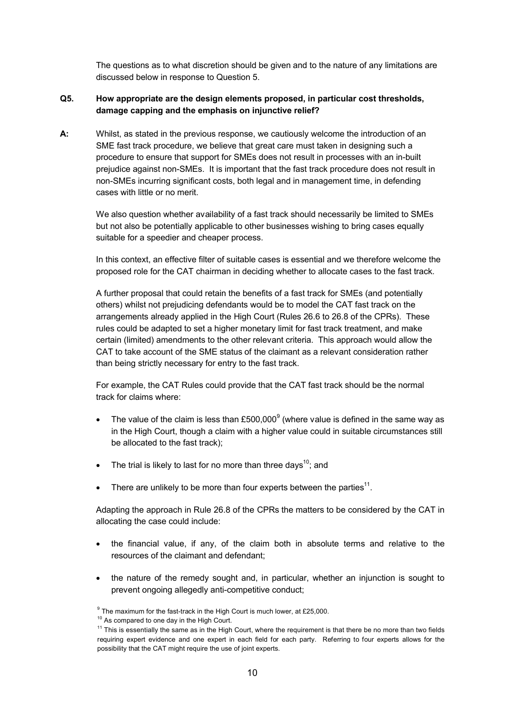The questions as to what discretion should be given and to the nature of any limitations are discussed below in response to Question 5.

#### **Q5. How appropriate are the design elements proposed, in particular cost thresholds, damage capping and the emphasis on injunctive relief?**

**A:** Whilst, as stated in the previous response, we cautiously welcome the introduction of an SME fast track procedure, we believe that great care must taken in designing such a procedure to ensure that support for SMEs does not result in processes with an in-built prejudice against non-SMEs. It is important that the fast track procedure does not result in non-SMEs incurring significant costs, both legal and in management time, in defending cases with little or no merit.

We also question whether availability of a fast track should necessarily be limited to SMEs but not also be potentially applicable to other businesses wishing to bring cases equally suitable for a speedier and cheaper process.

In this context, an effective filter of suitable cases is essential and we therefore welcome the proposed role for the CAT chairman in deciding whether to allocate cases to the fast track.

A further proposal that could retain the benefits of a fast track for SMEs (and potentially others) whilst not prejudicing defendants would be to model the CAT fast track on the arrangements already applied in the High Court (Rules 26.6 to 26.8 of the CPRs). These rules could be adapted to set a higher monetary limit for fast track treatment, and make certain (limited) amendments to the other relevant criteria. This approach would allow the CAT to take account of the SME status of the claimant as a relevant consideration rather than being strictly necessary for entry to the fast track.

For example, the CAT Rules could provide that the CAT fast track should be the normal track for claims where:

- The value of the claim is less than £500,000 $^9$  (where value is defined in the same way as in the High Court, though a claim with a higher value could in suitable circumstances still be allocated to the fast track);
- The trial is likely to last for no more than three days<sup>10</sup>; and
- There are unlikely to be more than four experts between the parties<sup>11</sup>.

Adapting the approach in Rule 26.8 of the CPRs the matters to be considered by the CAT in allocating the case could include:

- the financial value, if any, of the claim both in absolute terms and relative to the resources of the claimant and defendant;
- the nature of the remedy sought and, in particular, whether an injunction is sought to prevent ongoing allegedly anti-competitive conduct;

 $^9$  The maximum for the fast-track in the High Court is much lower, at £25,000.

<sup>&</sup>lt;sup>10</sup> As compared to one day in the High Court.

 $11$  This is essentially the same as in the High Court, where the requirement is that there be no more than two fields requiring expert evidence and one expert in each field for each party. Referring to four experts allows for the possibility that the CAT might require the use of joint experts.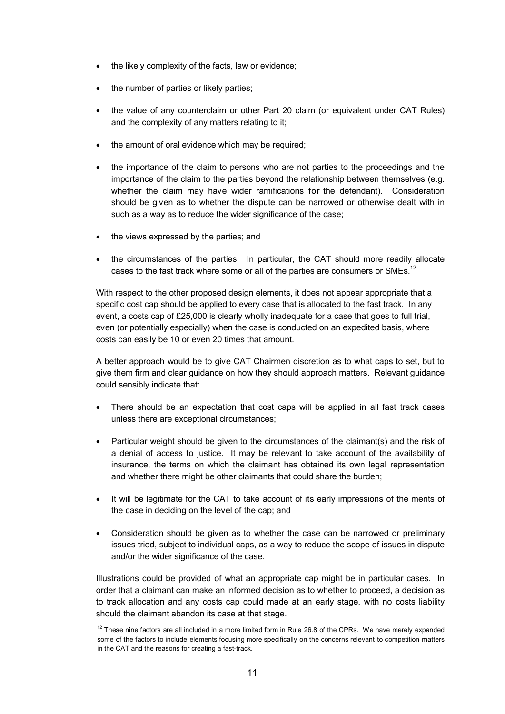- the likely complexity of the facts, law or evidence;
- the number of parties or likely parties;
- the value of any counterclaim or other Part 20 claim (or equivalent under CAT Rules) and the complexity of any matters relating to it;
- the amount of oral evidence which may be required;
- the importance of the claim to persons who are not parties to the proceedings and the importance of the claim to the parties beyond the relationship between themselves (e.g. whether the claim may have wider ramifications for the defendant). Consideration should be given as to whether the dispute can be narrowed or otherwise dealt with in such as a way as to reduce the wider significance of the case;
- the views expressed by the parties; and
- the circumstances of the parties. In particular, the CAT should more readily allocate cases to the fast track where some or all of the parties are consumers or SMEs.<sup>12</sup>

With respect to the other proposed design elements, it does not appear appropriate that a specific cost cap should be applied to every case that is allocated to the fast track. In any event, a costs cap of £25,000 is clearly wholly inadequate for a case that goes to full trial, even (or potentially especially) when the case is conducted on an expedited basis, where costs can easily be 10 or even 20 times that amount.

A better approach would be to give CAT Chairmen discretion as to what caps to set, but to give them firm and clear guidance on how they should approach matters. Relevant guidance could sensibly indicate that:

- There should be an expectation that cost caps will be applied in all fast track cases unless there are exceptional circumstances;
- Particular weight should be given to the circumstances of the claimant(s) and the risk of a denial of access to justice. It may be relevant to take account of the availability of insurance, the terms on which the claimant has obtained its own legal representation and whether there might be other claimants that could share the burden;
- It will be legitimate for the CAT to take account of its early impressions of the merits of the case in deciding on the level of the cap; and
- Consideration should be given as to whether the case can be narrowed or preliminary issues tried, subject to individual caps, as a way to reduce the scope of issues in dispute and/or the wider significance of the case.

Illustrations could be provided of what an appropriate cap might be in particular cases. In order that a claimant can make an informed decision as to whether to proceed, a decision as to track allocation and any costs cap could made at an early stage, with no costs liability should the claimant abandon its case at that stage.

 $12$  These nine factors are all included in a more limited form in Rule 26.8 of the CPRs. We have merely expanded some of the factors to include elements focusing more specifically on the concerns relevant to competition matters in the CAT and the reasons for creating a fast-track.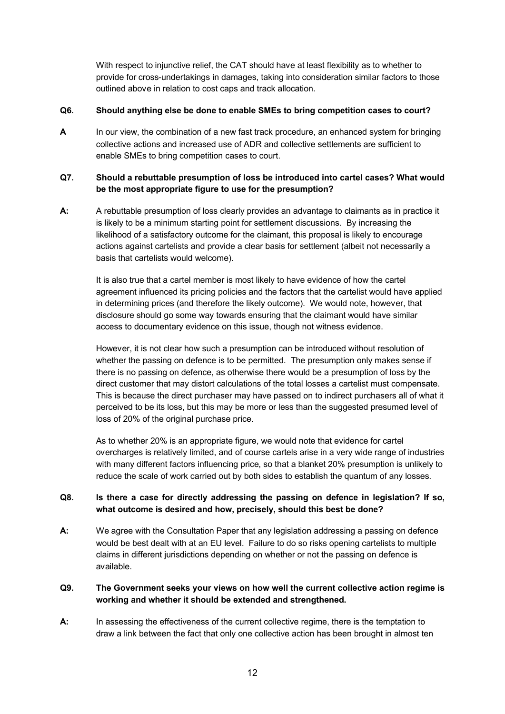With respect to injunctive relief, the CAT should have at least flexibility as to whether to provide for cross-undertakings in damages, taking into consideration similar factors to those outlined above in relation to cost caps and track allocation.

#### **Q6. Should anything else be done to enable SMEs to bring competition cases to court?**

**A** In our view, the combination of a new fast track procedure, an enhanced system for bringing collective actions and increased use of ADR and collective settlements are sufficient to enable SMEs to bring competition cases to court.

# **Q7. Should a rebuttable presumption of loss be introduced into cartel cases? What would be the most appropriate figure to use for the presumption?**

**A:** A rebuttable presumption of loss clearly provides an advantage to claimants as in practice it is likely to be a minimum starting point for settlement discussions. By increasing the likelihood of a satisfactory outcome for the claimant, this proposal is likely to encourage actions against cartelists and provide a clear basis for settlement (albeit not necessarily a basis that cartelists would welcome).

It is also true that a cartel member is most likely to have evidence of how the cartel agreement influenced its pricing policies and the factors that the cartelist would have applied in determining prices (and therefore the likely outcome). We would note, however, that disclosure should go some way towards ensuring that the claimant would have similar access to documentary evidence on this issue, though not witness evidence.

However, it is not clear how such a presumption can be introduced without resolution of whether the passing on defence is to be permitted. The presumption only makes sense if there is no passing on defence, as otherwise there would be a presumption of loss by the direct customer that may distort calculations of the total losses a cartelist must compensate. This is because the direct purchaser may have passed on to indirect purchasers all of what it perceived to be its loss, but this may be more or less than the suggested presumed level of loss of 20% of the original purchase price.

As to whether 20% is an appropriate figure, we would note that evidence for cartel overcharges is relatively limited, and of course cartels arise in a very wide range of industries with many different factors influencing price, so that a blanket 20% presumption is unlikely to reduce the scale of work carried out by both sides to establish the quantum of any losses.

# **Q8. Is there a case for directly addressing the passing on defence in legislation? If so, what outcome is desired and how, precisely, should this best be done?**

**A:** We agree with the Consultation Paper that any legislation addressing a passing on defence would be best dealt with at an EU level. Failure to do so risks opening cartelists to multiple claims in different jurisdictions depending on whether or not the passing on defence is available.

# **Q9. The Government seeks your views on how well the current collective action regime is working and whether it should be extended and strengthened.**

**A:** In assessing the effectiveness of the current collective regime, there is the temptation to draw a link between the fact that only one collective action has been brought in almost ten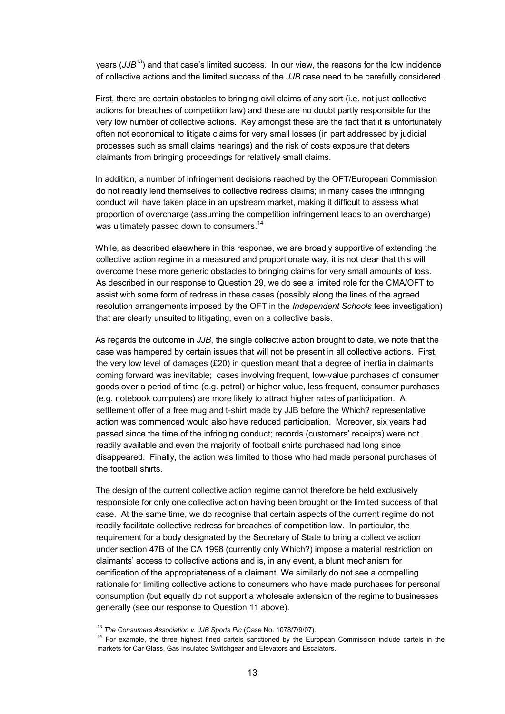years (*JJB*<sup>13</sup>) and that case's limited success. In our view, the reasons for the low incidence of collective actions and the limited success of the *JJB* case need to be carefully considered.

First, there are certain obstacles to bringing civil claims of any sort (i.e. not just collective actions for breaches of competition law) and these are no doubt partly responsible for the very low number of collective actions. Key amongst these are the fact that it is unfortunately often not economical to litigate claims for very small losses (in part addressed by judicial processes such as small claims hearings) and the risk of costs exposure that deters claimants from bringing proceedings for relatively small claims.

 In addition, a number of infringement decisions reached by the OFT/European Commission do not readily lend themselves to collective redress claims; in many cases the infringing conduct will have taken place in an upstream market, making it difficult to assess what proportion of overcharge (assuming the competition infringement leads to an overcharge) was ultimately passed down to consumers.<sup>14</sup>

 While, as described elsewhere in this response, we are broadly supportive of extending the collective action regime in a measured and proportionate way, it is not clear that this will overcome these more generic obstacles to bringing claims for very small amounts of loss. As described in our response to Question 29, we do see a limited role for the CMA/OFT to assist with some form of redress in these cases (possibly along the lines of the agreed resolution arrangements imposed by the OFT in the *Independent Schools* fees investigation) that are clearly unsuited to litigating, even on a collective basis.

 As regards the outcome in *JJB*, the single collective action brought to date, we note that the case was hampered by certain issues that will not be present in all collective actions. First, the very low level of damages  $(E20)$  in question meant that a degree of inertia in claimants coming forward was inevitable; cases involving frequent, low-value purchases of consumer goods over a period of time (e.g. petrol) or higher value, less frequent, consumer purchases (e.g. notebook computers) are more likely to attract higher rates of participation. A settlement offer of a free mug and t-shirt made by JJB before the Which? representative action was commenced would also have reduced participation. Moreover, six years had passed since the time of the infringing conduct; records (customers' receipts) were not readily available and even the majority of football shirts purchased had long since disappeared. Finally, the action was limited to those who had made personal purchases of the football shirts.

 The design of the current collective action regime cannot therefore be held exclusively responsible for only one collective action having been brought or the limited success of that case. At the same time, we do recognise that certain aspects of the current regime do not readily facilitate collective redress for breaches of competition law. In particular, the requirement for a body designated by the Secretary of State to bring a collective action under section 47B of the CA 1998 (currently only Which?) impose a material restriction on claimants' access to collective actions and is, in any event, a blunt mechanism for certification of the appropriateness of a claimant. We similarly do not see a compelling rationale for limiting collective actions to consumers who have made purchases for personal consumption (but equally do not support a wholesale extension of the regime to businesses generally (see our response to Question 11 above).

<sup>13</sup> *The Consumers Association v. JJB Sports Plc* (Case No. 1078/7/9/07).

<sup>&</sup>lt;sup>14</sup> For example, the three highest fined cartels sanctioned by the European Commission include cartels in the markets for Car Glass, Gas Insulated Switchgear and Elevators and Escalators.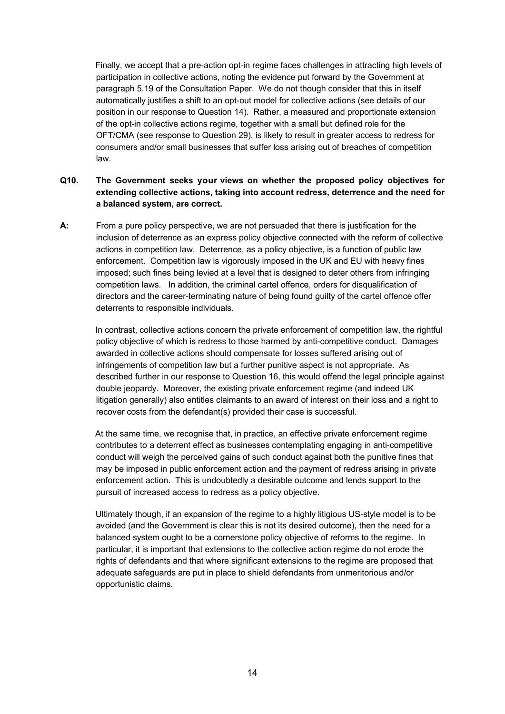Finally, we accept that a pre-action opt-in regime faces challenges in attracting high levels of participation in collective actions, noting the evidence put forward by the Government at paragraph 5.19 of the Consultation Paper. We do not though consider that this in itself automatically justifies a shift to an opt-out model for collective actions (see details of our position in our response to Question 14). Rather, a measured and proportionate extension of the opt-in collective actions regime, together with a small but defined role for the OFT/CMA (see response to Question 29), is likely to result in greater access to redress for consumers and/or small businesses that suffer loss arising out of breaches of competition law.

# **Q10. The Government seeks your views on whether the proposed policy objectives for extending collective actions, taking into account redress, deterrence and the need for a balanced system, are correct.**

**A:** From a pure policy perspective, we are not persuaded that there is justification for the inclusion of deterrence as an express policy objective connected with the reform of collective actions in competition law. Deterrence, as a policy objective, is a function of public law enforcement. Competition law is vigorously imposed in the UK and EU with heavy fines imposed; such fines being levied at a level that is designed to deter others from infringing competition laws. In addition, the criminal cartel offence, orders for disqualification of directors and the career-terminating nature of being found guilty of the cartel offence offer deterrents to responsible individuals.

 In contrast, collective actions concern the private enforcement of competition law, the rightful policy objective of which is redress to those harmed by anti-competitive conduct. Damages awarded in collective actions should compensate for losses suffered arising out of infringements of competition law but a further punitive aspect is not appropriate. As described further in our response to Question 16, this would offend the legal principle against double jeopardy. Moreover, the existing private enforcement regime (and indeed UK litigation generally) also entitles claimants to an award of interest on their loss and a right to recover costs from the defendant(s) provided their case is successful.

 At the same time, we recognise that, in practice, an effective private enforcement regime contributes to a deterrent effect as businesses contemplating engaging in anti-competitive conduct will weigh the perceived gains of such conduct against both the punitive fines that may be imposed in public enforcement action and the payment of redress arising in private enforcement action. This is undoubtedly a desirable outcome and lends support to the pursuit of increased access to redress as a policy objective.

 Ultimately though, if an expansion of the regime to a highly litigious US-style model is to be avoided (and the Government is clear this is not its desired outcome), then the need for a balanced system ought to be a cornerstone policy objective of reforms to the regime. In particular, it is important that extensions to the collective action regime do not erode the rights of defendants and that where significant extensions to the regime are proposed that adequate safeguards are put in place to shield defendants from unmeritorious and/or opportunistic claims.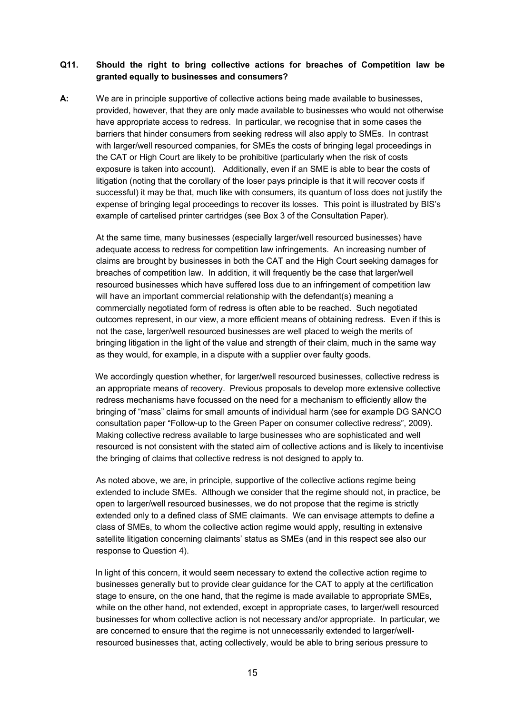#### **Q11. Should the right to bring collective actions for breaches of Competition law be granted equally to businesses and consumers?**

**A:** We are in principle supportive of collective actions being made available to businesses, provided, however, that they are only made available to businesses who would not otherwise have appropriate access to redress. In particular, we recognise that in some cases the barriers that hinder consumers from seeking redress will also apply to SMEs. In contrast with larger/well resourced companies, for SMEs the costs of bringing legal proceedings in the CAT or High Court are likely to be prohibitive (particularly when the risk of costs exposure is taken into account). Additionally, even if an SME is able to bear the costs of litigation (noting that the corollary of the loser pays principle is that it will recover costs if successful) it may be that, much like with consumers, its quantum of loss does not justify the expense of bringing legal proceedings to recover its losses. This point is illustrated by BIS's example of cartelised printer cartridges (see Box 3 of the Consultation Paper).

At the same time, many businesses (especially larger/well resourced businesses) have adequate access to redress for competition law infringements. An increasing number of claims are brought by businesses in both the CAT and the High Court seeking damages for breaches of competition law. In addition, it will frequently be the case that larger/well resourced businesses which have suffered loss due to an infringement of competition law will have an important commercial relationship with the defendant(s) meaning a commercially negotiated form of redress is often able to be reached. Such negotiated outcomes represent, in our view, a more efficient means of obtaining redress. Even if this is not the case, larger/well resourced businesses are well placed to weigh the merits of bringing litigation in the light of the value and strength of their claim, much in the same way as they would, for example, in a dispute with a supplier over faulty goods.

We accordingly question whether, for larger/well resourced businesses, collective redress is an appropriate means of recovery. Previous proposals to develop more extensive collective redress mechanisms have focussed on the need for a mechanism to efficiently allow the bringing of "mass" claims for small amounts of individual harm (see for example DG SANCO consultation paper "Follow-up to the Green Paper on consumer collective redress", 2009). Making collective redress available to large businesses who are sophisticated and well resourced is not consistent with the stated aim of collective actions and is likely to incentivise the bringing of claims that collective redress is not designed to apply to.

As noted above, we are, in principle, supportive of the collective actions regime being extended to include SMEs. Although we consider that the regime should not, in practice, be open to larger/well resourced businesses, we do not propose that the regime is strictly extended only to a defined class of SME claimants. We can envisage attempts to define a class of SMEs, to whom the collective action regime would apply, resulting in extensive satellite litigation concerning claimants' status as SMEs (and in this respect see also our response to Question 4).

 In light of this concern, it would seem necessary to extend the collective action regime to businesses generally but to provide clear guidance for the CAT to apply at the certification stage to ensure, on the one hand, that the regime is made available to appropriate SMEs, while on the other hand, not extended, except in appropriate cases, to larger/well resourced businesses for whom collective action is not necessary and/or appropriate. In particular, we are concerned to ensure that the regime is not unnecessarily extended to larger/wellresourced businesses that, acting collectively, would be able to bring serious pressure to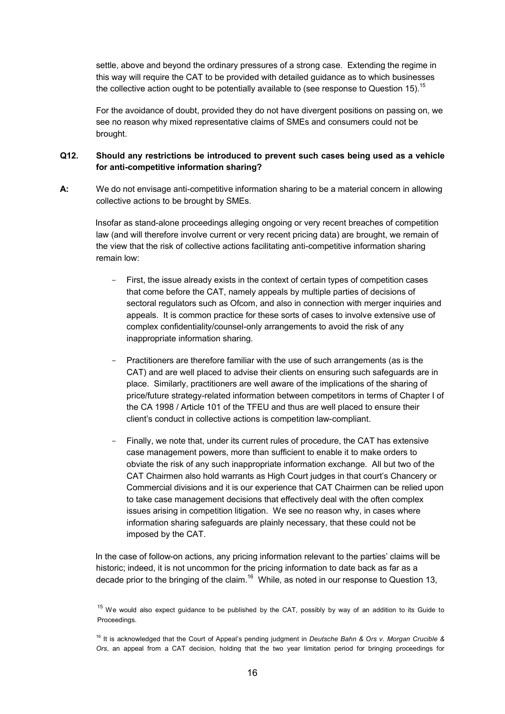settle, above and beyond the ordinary pressures of a strong case. Extending the regime in this way will require the CAT to be provided with detailed guidance as to which businesses the collective action ought to be potentially available to (see response to Question 15).<sup>15</sup>

For the avoidance of doubt, provided they do not have divergent positions on passing on, we see no reason why mixed representative claims of SMEs and consumers could not be brought.

# **Q12. Should any restrictions be introduced to prevent such cases being used as a vehicle for anti-competitive information sharing?**

**A:** We do not envisage anti-competitive information sharing to be a material concern in allowing collective actions to be brought by SMEs.

Insofar as stand-alone proceedings alleging ongoing or very recent breaches of competition law (and will therefore involve current or very recent pricing data) are brought, we remain of the view that the risk of collective actions facilitating anti-competitive information sharing remain low:

- First, the issue already exists in the context of certain types of competition cases that come before the CAT, namely appeals by multiple parties of decisions of sectoral regulators such as Ofcom, and also in connection with merger inquiries and appeals. It is common practice for these sorts of cases to involve extensive use of complex confidentiality/counsel-only arrangements to avoid the risk of any inappropriate information sharing.
- Practitioners are therefore familiar with the use of such arrangements (as is the CAT) and are well placed to advise their clients on ensuring such safeguards are in place. Similarly, practitioners are well aware of the implications of the sharing of price/future strategy-related information between competitors in terms of Chapter I of the CA 1998 / Article 101 of the TFEU and thus are well placed to ensure their client's conduct in collective actions is competition law-compliant.
- Finally, we note that, under its current rules of procedure, the CAT has extensive case management powers, more than sufficient to enable it to make orders to obviate the risk of any such inappropriate information exchange. All but two of the CAT Chairmen also hold warrants as High Court judges in that court's Chancery or Commercial divisions and it is our experience that CAT Chairmen can be relied upon to take case management decisions that effectively deal with the often complex issues arising in competition litigation. We see no reason why, in cases where information sharing safeguards are plainly necessary, that these could not be imposed by the CAT.

 In the case of follow-on actions, any pricing information relevant to the parties' claims will be historic; indeed, it is not uncommon for the pricing information to date back as far as a decade prior to the bringing of the claim.<sup>16</sup> While, as noted in our response to Question 13,

 $15$  We would also expect quidance to be published by the CAT, possibly by way of an addition to its Guide to Proceedings.

<sup>16</sup> It is acknowledged that the Court of Appeal's pending judgment in *Deutsche Bahn & Ors v. Morgan Crucible & Ors*, an appeal from a CAT decision, holding that the two year limitation period for bringing proceedings for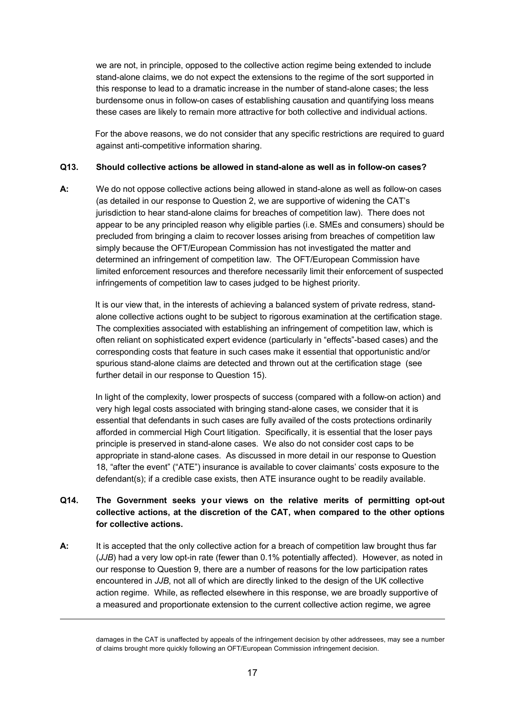we are not, in principle, opposed to the collective action regime being extended to include stand-alone claims, we do not expect the extensions to the regime of the sort supported in this response to lead to a dramatic increase in the number of stand-alone cases; the less burdensome onus in follow-on cases of establishing causation and quantifying loss means these cases are likely to remain more attractive for both collective and individual actions.

 For the above reasons, we do not consider that any specific restrictions are required to guard against anti-competitive information sharing.

#### **Q13. Should collective actions be allowed in stand-alone as well as in follow-on cases?**

**A:** We do not oppose collective actions being allowed in stand-alone as well as follow-on cases (as detailed in our response to Question 2, we are supportive of widening the CAT's jurisdiction to hear stand-alone claims for breaches of competition law). There does not appear to be any principled reason why eligible parties (i.e. SMEs and consumers) should be precluded from bringing a claim to recover losses arising from breaches of competition law simply because the OFT/European Commission has not investigated the matter and determined an infringement of competition law. The OFT/European Commission have limited enforcement resources and therefore necessarily limit their enforcement of suspected infringements of competition law to cases judged to be highest priority.

 It is our view that, in the interests of achieving a balanced system of private redress, standalone collective actions ought to be subject to rigorous examination at the certification stage. The complexities associated with establishing an infringement of competition law, which is often reliant on sophisticated expert evidence (particularly in "effects"-based cases) and the corresponding costs that feature in such cases make it essential that opportunistic and/or spurious stand-alone claims are detected and thrown out at the certification stage (see further detail in our response to Question 15).

 In light of the complexity, lower prospects of success (compared with a follow-on action) and very high legal costs associated with bringing stand-alone cases, we consider that it is essential that defendants in such cases are fully availed of the costs protections ordinarily afforded in commercial High Court litigation. Specifically, it is essential that the loser pays principle is preserved in stand-alone cases. We also do not consider cost caps to be appropriate in stand-alone cases. As discussed in more detail in our response to Question 18, "after the event" ("ATE") insurance is available to cover claimants' costs exposure to the defendant(s); if a credible case exists, then ATE insurance ought to be readily available.

# **Q14. The Government seeks your views on the relative merits of permitting opt-out collective actions, at the discretion of the CAT, when compared to the other options for collective actions.**

**A:** It is accepted that the only collective action for a breach of competition law brought thus far (*JJB*) had a very low opt-in rate (fewer than 0.1% potentially affected). However, as noted in our response to Question 9, there are a number of reasons for the low participation rates encountered in *JJB*, not all of which are directly linked to the design of the UK collective action regime. While, as reflected elsewhere in this response, we are broadly supportive of a measured and proportionate extension to the current collective action regime, we agree

-

damages in the CAT is unaffected by appeals of the infringement decision by other addressees, may see a number of claims brought more quickly following an OFT/European Commission infringement decision.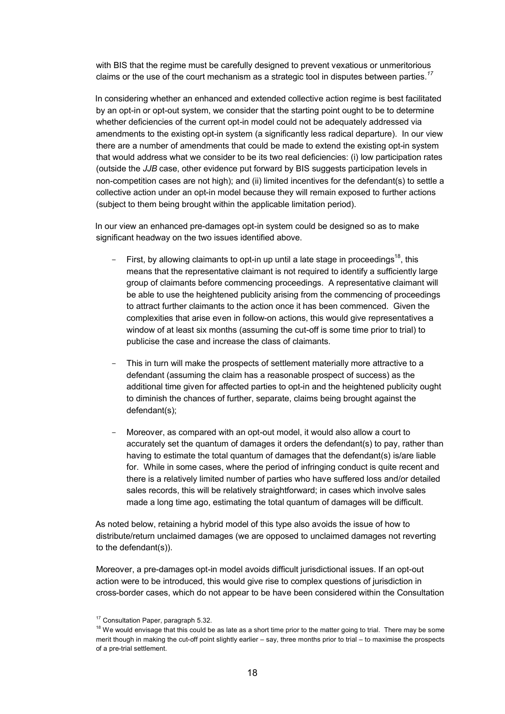with BIS that the regime must be carefully designed to prevent vexatious or unmeritorious claims or the use of the court mechanism as a strategic tool in disputes between parties.*<sup>17</sup>*

 In considering whether an enhanced and extended collective action regime is best facilitated by an opt-in or opt-out system, we consider that the starting point ought to be to determine whether deficiencies of the current opt-in model could not be adequately addressed via amendments to the existing opt-in system (a significantly less radical departure). In our view there are a number of amendments that could be made to extend the existing opt-in system that would address what we consider to be its two real deficiencies: (i) low participation rates (outside the *JJB* case, other evidence put forward by BIS suggests participation levels in non-competition cases are not high); and (ii) limited incentives for the defendant(s) to settle a collective action under an opt-in model because they will remain exposed to further actions (subject to them being brought within the applicable limitation period).

 In our view an enhanced pre-damages opt-in system could be designed so as to make significant headway on the two issues identified above.

- First, by allowing claimants to opt-in up until a late stage in proceedings<sup>18</sup>, this means that the representative claimant is not required to identify a sufficiently large group of claimants before commencing proceedings. A representative claimant will be able to use the heightened publicity arising from the commencing of proceedings to attract further claimants to the action once it has been commenced. Given the complexities that arise even in follow-on actions, this would give representatives a window of at least six months (assuming the cut-off is some time prior to trial) to publicise the case and increase the class of claimants.
- This in turn will make the prospects of settlement materially more attractive to a defendant (assuming the claim has a reasonable prospect of success) as the additional time given for affected parties to opt-in and the heightened publicity ought to diminish the chances of further, separate, claims being brought against the defendant(s);
- Moreover, as compared with an opt-out model, it would also allow a court to accurately set the quantum of damages it orders the defendant(s) to pay, rather than having to estimate the total quantum of damages that the defendant(s) is/are liable for. While in some cases, where the period of infringing conduct is quite recent and there is a relatively limited number of parties who have suffered loss and/or detailed sales records, this will be relatively straightforward; in cases which involve sales made a long time ago, estimating the total quantum of damages will be difficult.

 As noted below, retaining a hybrid model of this type also avoids the issue of how to distribute/return unclaimed damages (we are opposed to unclaimed damages not reverting to the defendant(s)).

Moreover, a pre-damages opt-in model avoids difficult jurisdictional issues. If an opt-out action were to be introduced, this would give rise to complex questions of jurisdiction in cross-border cases, which do not appear to be have been considered within the Consultation

<sup>&</sup>lt;sup>17</sup> Consultation Paper, paragraph 5.32.

<sup>&</sup>lt;sup>18</sup> We would envisage that this could be as late as a short time prior to the matter going to trial. There may be some merit though in making the cut-off point slightly earlier – say, three months prior to trial – to maximise the prospects of a pre-trial settlement.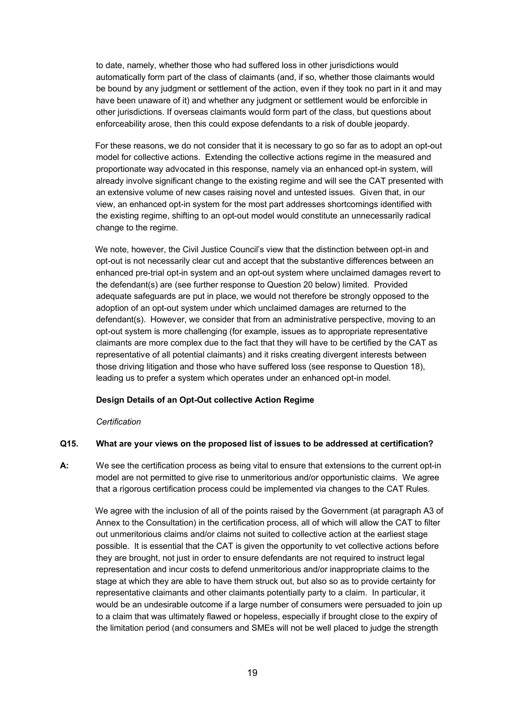to date, namely, whether those who had suffered loss in other jurisdictions would automatically form part of the class of claimants (and, if so, whether those claimants would be bound by any judgment or settlement of the action, even if they took no part in it and may have been unaware of it) and whether any judgment or settlement would be enforcible in other jurisdictions. If overseas claimants would form part of the class, but questions about enforceability arose, then this could expose defendants to a risk of double jeopardy.

 For these reasons, we do not consider that it is necessary to go so far as to adopt an opt-out model for collective actions. Extending the collective actions regime in the measured and proportionate way advocated in this response, namely via an enhanced opt-in system, will already involve significant change to the existing regime and will see the CAT presented with an extensive volume of new cases raising novel and untested issues. Given that, in our view, an enhanced opt-in system for the most part addresses shortcomings identified with the existing regime, shifting to an opt-out model would constitute an unnecessarily radical change to the regime.

 We note, however, the Civil Justice Council's view that the distinction between opt-in and opt-out is not necessarily clear cut and accept that the substantive differences between an enhanced pre-trial opt-in system and an opt-out system where unclaimed damages revert to the defendant(s) are (see further response to Question 20 below) limited. Provided adequate safeguards are put in place, we would not therefore be strongly opposed to the adoption of an opt-out system under which unclaimed damages are returned to the defendant(s). However, we consider that from an administrative perspective, moving to an opt-out system is more challenging (for example, issues as to appropriate representative claimants are more complex due to the fact that they will have to be certified by the CAT as representative of all potential claimants) and it risks creating divergent interests between those driving litigation and those who have suffered loss (see response to Question 18), leading us to prefer a system which operates under an enhanced opt-in model.

#### **Design Details of an Opt-Out collective Action Regime**

#### *Certification*

# **Q15. What are your views on the proposed list of issues to be addressed at certification?**

**A:** We see the certification process as being vital to ensure that extensions to the current opt-in model are not permitted to give rise to unmeritorious and/or opportunistic claims. We agree that a rigorous certification process could be implemented via changes to the CAT Rules.

 We agree with the inclusion of all of the points raised by the Government (at paragraph A3 of Annex to the Consultation) in the certification process, all of which will allow the CAT to filter out unmeritorious claims and/or claims not suited to collective action at the earliest stage possible. It is essential that the CAT is given the opportunity to vet collective actions before they are brought, not just in order to ensure defendants are not required to instruct legal representation and incur costs to defend unmeritorious and/or inappropriate claims to the stage at which they are able to have them struck out, but also so as to provide certainty for representative claimants and other claimants potentially party to a claim. In particular, it would be an undesirable outcome if a large number of consumers were persuaded to join up to a claim that was ultimately flawed or hopeless, especially if brought close to the expiry of the limitation period (and consumers and SMEs will not be well placed to judge the strength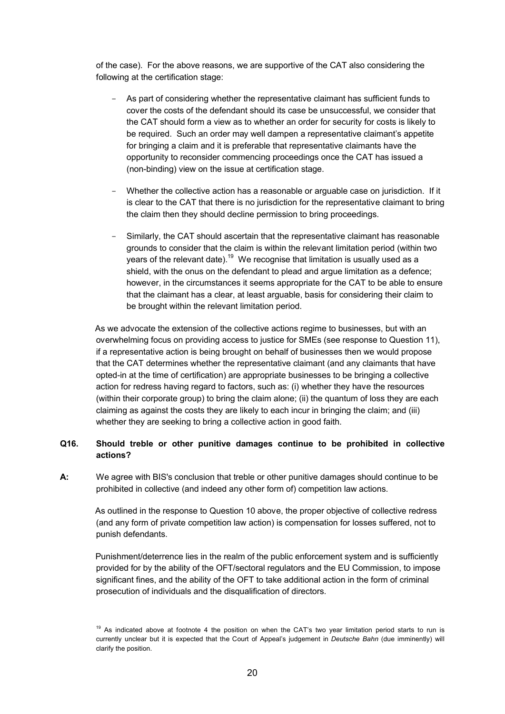of the case). For the above reasons, we are supportive of the CAT also considering the following at the certification stage:

- As part of considering whether the representative claimant has sufficient funds to cover the costs of the defendant should its case be unsuccessful, we consider that the CAT should form a view as to whether an order for security for costs is likely to be required. Such an order may well dampen a representative claimant's appetite for bringing a claim and it is preferable that representative claimants have the opportunity to reconsider commencing proceedings once the CAT has issued a (non-binding) view on the issue at certification stage.
- Whether the collective action has a reasonable or arguable case on jurisdiction. If it is clear to the CAT that there is no jurisdiction for the representative claimant to bring the claim then they should decline permission to bring proceedings.
- Similarly, the CAT should ascertain that the representative claimant has reasonable grounds to consider that the claim is within the relevant limitation period (within two years of the relevant date).<sup>19</sup> We recognise that limitation is usually used as a shield, with the onus on the defendant to plead and argue limitation as a defence; however, in the circumstances it seems appropriate for the CAT to be able to ensure that the claimant has a clear, at least arguable, basis for considering their claim to be brought within the relevant limitation period.

 As we advocate the extension of the collective actions regime to businesses, but with an overwhelming focus on providing access to justice for SMEs (see response to Question 11), if a representative action is being brought on behalf of businesses then we would propose that the CAT determines whether the representative claimant (and any claimants that have opted-in at the time of certification) are appropriate businesses to be bringing a collective action for redress having regard to factors, such as: (i) whether they have the resources (within their corporate group) to bring the claim alone; (ii) the quantum of loss they are each claiming as against the costs they are likely to each incur in bringing the claim; and (iii) whether they are seeking to bring a collective action in good faith.

# **Q16. Should treble or other punitive damages continue to be prohibited in collective actions?**

**A:** We agree with BIS's conclusion that treble or other punitive damages should continue to be prohibited in collective (and indeed any other form of) competition law actions.

 As outlined in the response to Question 10 above, the proper objective of collective redress (and any form of private competition law action) is compensation for losses suffered, not to punish defendants.

 Punishment/deterrence lies in the realm of the public enforcement system and is sufficiently provided for by the ability of the OFT/sectoral regulators and the EU Commission, to impose significant fines, and the ability of the OFT to take additional action in the form of criminal prosecution of individuals and the disqualification of directors.

<sup>&</sup>lt;sup>19</sup> As indicated above at footnote 4 the position on when the CAT's two year limitation period starts to run is currently unclear but it is expected that the Court of Appeal's judgement in *Deutsche Bahn* (due imminently) will clarify the position.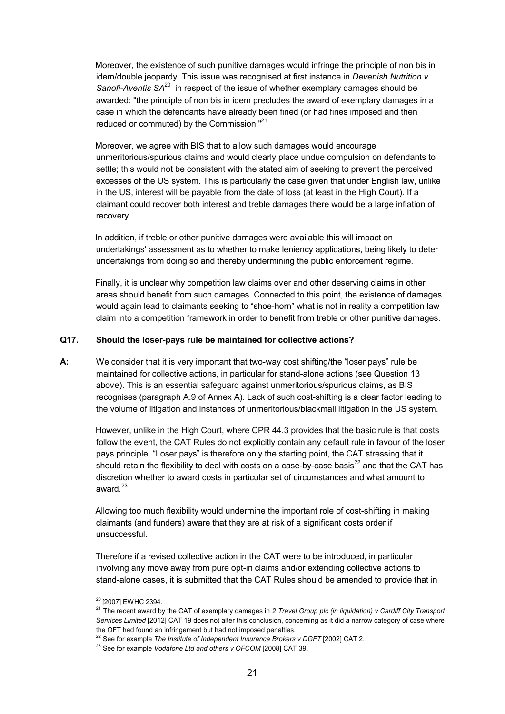Moreover, the existence of such punitive damages would infringe the principle of non bis in idem/double jeopardy. This issue was recognised at first instance in *Devenish Nutrition v Sanofi-Aventis SA*<sup>20</sup> in respect of the issue of whether exemplary damages should be awarded: "the principle of non bis in idem precludes the award of exemplary damages in a case in which the defendants have already been fined (or had fines imposed and then reduced or commuted) by the Commission."<sup>21</sup>

 Moreover, we agree with BIS that to allow such damages would encourage unmeritorious/spurious claims and would clearly place undue compulsion on defendants to settle; this would not be consistent with the stated aim of seeking to prevent the perceived excesses of the US system. This is particularly the case given that under English law, unlike in the US, interest will be payable from the date of loss (at least in the High Court). If a claimant could recover both interest and treble damages there would be a large inflation of recovery.

 In addition, if treble or other punitive damages were available this will impact on undertakings' assessment as to whether to make leniency applications, being likely to deter undertakings from doing so and thereby undermining the public enforcement regime.

 Finally, it is unclear why competition law claims over and other deserving claims in other areas should benefit from such damages. Connected to this point, the existence of damages would again lead to claimants seeking to "shoe-horn" what is not in reality a competition law claim into a competition framework in order to benefit from treble or other punitive damages.

#### **Q17. Should the loser-pays rule be maintained for collective actions?**

**A:** We consider that it is very important that two-way cost shifting/the "loser pays" rule be maintained for collective actions, in particular for stand-alone actions (see Question 13 above). This is an essential safeguard against unmeritorious/spurious claims, as BIS recognises (paragraph A.9 of Annex A). Lack of such cost-shifting is a clear factor leading to the volume of litigation and instances of unmeritorious/blackmail litigation in the US system.

 However, unlike in the High Court, where CPR 44.3 provides that the basic rule is that costs follow the event, the CAT Rules do not explicitly contain any default rule in favour of the loser pays principle. "Loser pays" is therefore only the starting point, the CAT stressing that it should retain the flexibility to deal with costs on a case-by-case basis $^{22}$  and that the CAT has discretion whether to award costs in particular set of circumstances and what amount to award.<sup>23</sup>

 Allowing too much flexibility would undermine the important role of cost-shifting in making claimants (and funders) aware that they are at risk of a significant costs order if unsuccessful.

 Therefore if a revised collective action in the CAT were to be introduced, in particular involving any move away from pure opt-in claims and/or extending collective actions to stand-alone cases, it is submitted that the CAT Rules should be amended to provide that in

<sup>&</sup>lt;sup>20</sup> [2007] EWHC 2394.

<sup>&</sup>lt;sup>21</sup> The recent award by the CAT of exemplary damages in 2 Travel Group plc (in liquidation) v Cardiff City Transport *Services Limited* [2012] CAT 19 does not alter this conclusion, concerning as it did a narrow category of case where the OFT had found an infringement but had not imposed penalties.

<sup>&</sup>lt;sup>22</sup> See for example *The Institute of Independent Insurance Brokers v DGFT* [2002] CAT 2.

<sup>23</sup> See for example *Vodafone Ltd and others v OFCOM* [2008] CAT 39.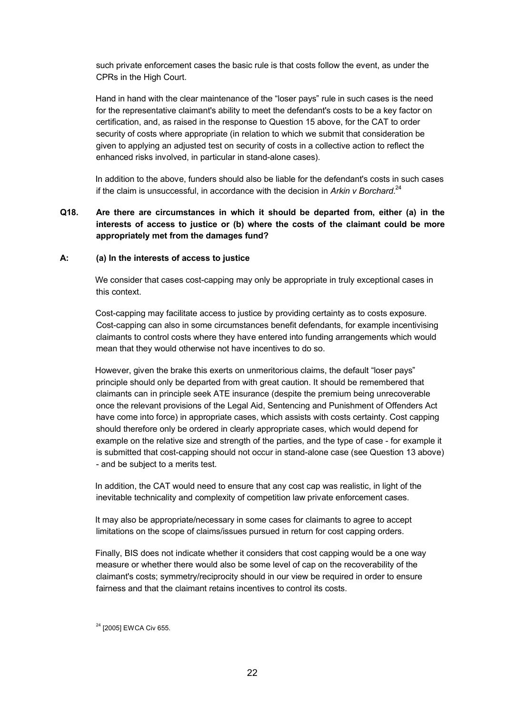such private enforcement cases the basic rule is that costs follow the event, as under the CPRs in the High Court.

 Hand in hand with the clear maintenance of the "loser pays" rule in such cases is the need for the representative claimant's ability to meet the defendant's costs to be a key factor on certification, and, as raised in the response to Question 15 above, for the CAT to order security of costs where appropriate (in relation to which we submit that consideration be given to applying an adjusted test on security of costs in a collective action to reflect the enhanced risks involved, in particular in stand-alone cases).

 In addition to the above, funders should also be liable for the defendant's costs in such cases if the claim is unsuccessful, in accordance with the decision in Arkin v Borchard.<sup>24</sup>

# **Q18. Are there are circumstances in which it should be departed from, either (a) in the interests of access to justice or (b) where the costs of the claimant could be more appropriately met from the damages fund?**

#### **A: (a) In the interests of access to justice**

 We consider that cases cost-capping may only be appropriate in truly exceptional cases in this context.

 Cost-capping may facilitate access to justice by providing certainty as to costs exposure. Cost-capping can also in some circumstances benefit defendants, for example incentivising claimants to control costs where they have entered into funding arrangements which would mean that they would otherwise not have incentives to do so.

However, given the brake this exerts on unmeritorious claims, the default "loser pays" principle should only be departed from with great caution. It should be remembered that claimants can in principle seek ATE insurance (despite the premium being unrecoverable once the relevant provisions of the Legal Aid, Sentencing and Punishment of Offenders Act have come into force) in appropriate cases, which assists with costs certainty. Cost capping should therefore only be ordered in clearly appropriate cases, which would depend for example on the relative size and strength of the parties, and the type of case - for example it is submitted that cost-capping should not occur in stand-alone case (see Question 13 above) - and be subject to a merits test.

 In addition, the CAT would need to ensure that any cost cap was realistic, in light of the inevitable technicality and complexity of competition law private enforcement cases.

 It may also be appropriate/necessary in some cases for claimants to agree to accept limitations on the scope of claims/issues pursued in return for cost capping orders.

 Finally, BIS does not indicate whether it considers that cost capping would be a one way measure or whether there would also be some level of cap on the recoverability of the claimant's costs; symmetry/reciprocity should in our view be required in order to ensure fairness and that the claimant retains incentives to control its costs.

<sup>24</sup> [2005] EWCA Civ 655.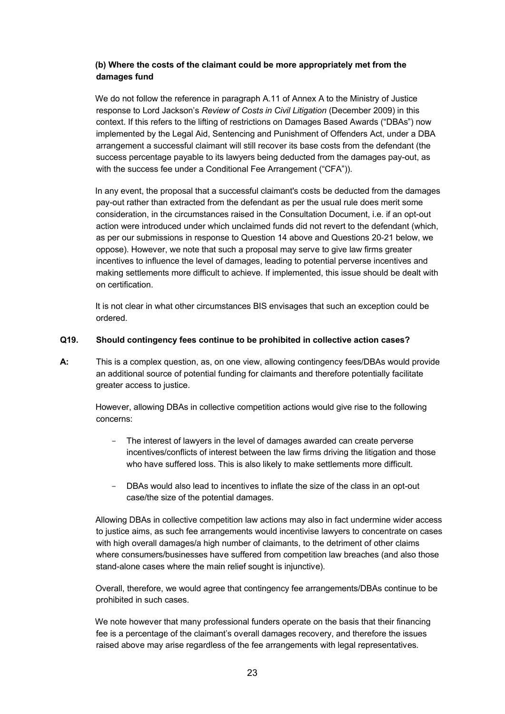## **(b) Where the costs of the claimant could be more appropriately met from the damages fund**

 We do not follow the reference in paragraph A.11 of Annex A to the Ministry of Justice response to Lord Jackson's *Review of Costs in Civil Litigation* (December 2009) in this context. If this refers to the lifting of restrictions on Damages Based Awards ("DBAs") now implemented by the Legal Aid, Sentencing and Punishment of Offenders Act, under a DBA arrangement a successful claimant will still recover its base costs from the defendant (the success percentage payable to its lawyers being deducted from the damages pay-out, as with the success fee under a Conditional Fee Arrangement ("CFA")).

 In any event, the proposal that a successful claimant's costs be deducted from the damages pay-out rather than extracted from the defendant as per the usual rule does merit some consideration, in the circumstances raised in the Consultation Document, i.e. if an opt-out action were introduced under which unclaimed funds did not revert to the defendant (which, as per our submissions in response to Question 14 above and Questions 20-21 below, we oppose). However, we note that such a proposal may serve to give law firms greater incentives to influence the level of damages, leading to potential perverse incentives and making settlements more difficult to achieve. If implemented, this issue should be dealt with on certification.

 It is not clear in what other circumstances BIS envisages that such an exception could be ordered.

#### **Q19. Should contingency fees continue to be prohibited in collective action cases?**

**A:** This is a complex question, as, on one view, allowing contingency fees/DBAs would provide an additional source of potential funding for claimants and therefore potentially facilitate greater access to justice.

 However, allowing DBAs in collective competition actions would give rise to the following concerns:

- The interest of lawyers in the level of damages awarded can create perverse incentives/conflicts of interest between the law firms driving the litigation and those who have suffered loss. This is also likely to make settlements more difficult.
- DBAs would also lead to incentives to inflate the size of the class in an opt-out case/the size of the potential damages.

 Allowing DBAs in collective competition law actions may also in fact undermine wider access to justice aims, as such fee arrangements would incentivise lawyers to concentrate on cases with high overall damages/a high number of claimants, to the detriment of other claims where consumers/businesses have suffered from competition law breaches (and also those stand-alone cases where the main relief sought is injunctive).

 Overall, therefore, we would agree that contingency fee arrangements/DBAs continue to be prohibited in such cases.

 We note however that many professional funders operate on the basis that their financing fee is a percentage of the claimant's overall damages recovery, and therefore the issues raised above may arise regardless of the fee arrangements with legal representatives.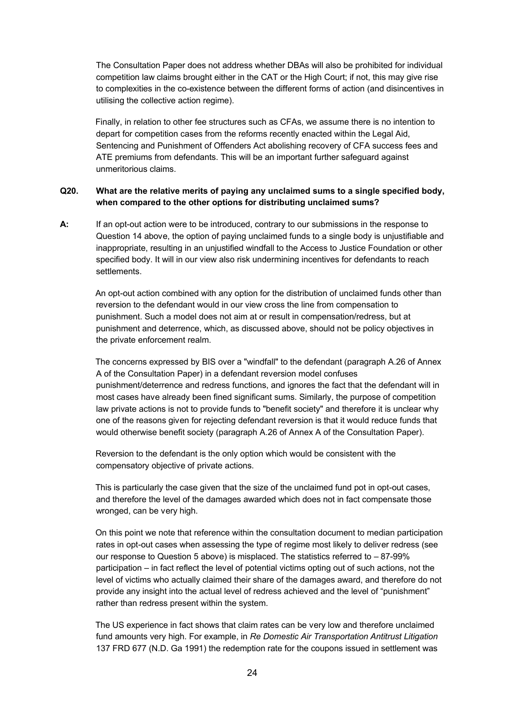The Consultation Paper does not address whether DBAs will also be prohibited for individual competition law claims brought either in the CAT or the High Court; if not, this may give rise to complexities in the co-existence between the different forms of action (and disincentives in utilising the collective action regime).

 Finally, in relation to other fee structures such as CFAs, we assume there is no intention to depart for competition cases from the reforms recently enacted within the Legal Aid, Sentencing and Punishment of Offenders Act abolishing recovery of CFA success fees and ATE premiums from defendants. This will be an important further safeguard against unmeritorious claims.

#### **Q20. What are the relative merits of paying any unclaimed sums to a single specified body, when compared to the other options for distributing unclaimed sums?**

**A:** If an opt-out action were to be introduced, contrary to our submissions in the response to Question 14 above, the option of paying unclaimed funds to a single body is unjustifiable and inappropriate, resulting in an unjustified windfall to the Access to Justice Foundation or other specified body. It will in our view also risk undermining incentives for defendants to reach settlements.

 An opt-out action combined with any option for the distribution of unclaimed funds other than reversion to the defendant would in our view cross the line from compensation to punishment. Such a model does not aim at or result in compensation/redress, but at punishment and deterrence, which, as discussed above, should not be policy objectives in the private enforcement realm.

 The concerns expressed by BIS over a "windfall" to the defendant (paragraph A.26 of Annex A of the Consultation Paper) in a defendant reversion model confuses punishment/deterrence and redress functions, and ignores the fact that the defendant will in most cases have already been fined significant sums. Similarly, the purpose of competition law private actions is not to provide funds to "benefit society" and therefore it is unclear why one of the reasons given for rejecting defendant reversion is that it would reduce funds that would otherwise benefit society (paragraph A.26 of Annex A of the Consultation Paper).

 Reversion to the defendant is the only option which would be consistent with the compensatory objective of private actions.

 This is particularly the case given that the size of the unclaimed fund pot in opt-out cases, and therefore the level of the damages awarded which does not in fact compensate those wronged, can be very high.

 On this point we note that reference within the consultation document to median participation rates in opt-out cases when assessing the type of regime most likely to deliver redress (see our response to Question 5 above) is misplaced. The statistics referred to – 87-99% participation – in fact reflect the level of potential victims opting out of such actions, not the level of victims who actually claimed their share of the damages award, and therefore do not provide any insight into the actual level of redress achieved and the level of "punishment" rather than redress present within the system.

 The US experience in fact shows that claim rates can be very low and therefore unclaimed fund amounts very high. For example, in *Re Domestic Air Transportation Antitrust Litigation*  137 FRD 677 (N.D. Ga 1991) the redemption rate for the coupons issued in settlement was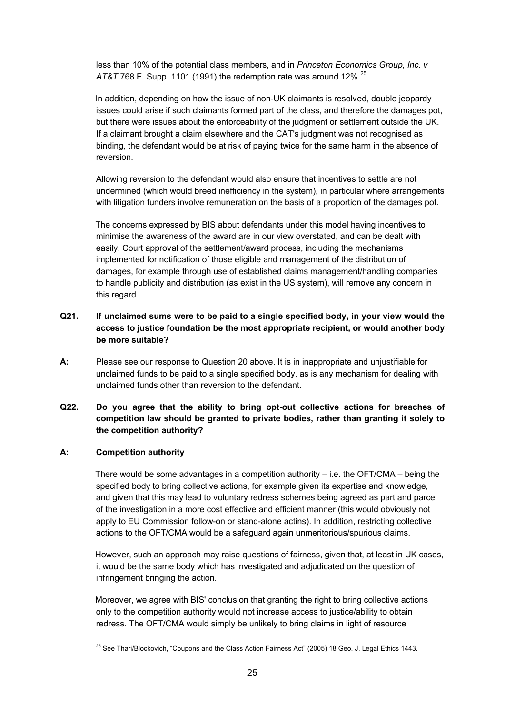less than 10% of the potential class members, and in *Princeton Economics Group, Inc. v AT&T* 768 F. Supp. 1101 (1991) the redemption rate was around 12%.<sup>25</sup>

 In addition, depending on how the issue of non-UK claimants is resolved, double jeopardy issues could arise if such claimants formed part of the class, and therefore the damages pot, but there were issues about the enforceability of the judgment or settlement outside the UK. If a claimant brought a claim elsewhere and the CAT's judgment was not recognised as binding, the defendant would be at risk of paying twice for the same harm in the absence of reversion.

Allowing reversion to the defendant would also ensure that incentives to settle are not undermined (which would breed inefficiency in the system), in particular where arrangements with litigation funders involve remuneration on the basis of a proportion of the damages pot.

 The concerns expressed by BIS about defendants under this model having incentives to minimise the awareness of the award are in our view overstated, and can be dealt with easily. Court approval of the settlement/award process, including the mechanisms implemented for notification of those eligible and management of the distribution of damages, for example through use of established claims management/handling companies to handle publicity and distribution (as exist in the US system), will remove any concern in this regard.

# **Q21. If unclaimed sums were to be paid to a single specified body, in your view would the access to justice foundation be the most appropriate recipient, or would another body be more suitable?**

**A:** Please see our response to Question 20 above. It is in inappropriate and unjustifiable for unclaimed funds to be paid to a single specified body, as is any mechanism for dealing with unclaimed funds other than reversion to the defendant.

# **Q22. Do you agree that the ability to bring opt-out collective actions for breaches of competition law should be granted to private bodies, rather than granting it solely to the competition authority?**

#### **A: Competition authority**

There would be some advantages in a competition authority  $-$  i.e. the OFT/CMA  $-$  being the specified body to bring collective actions, for example given its expertise and knowledge, and given that this may lead to voluntary redress schemes being agreed as part and parcel of the investigation in a more cost effective and efficient manner (this would obviously not apply to EU Commission follow-on or stand-alone actins). In addition, restricting collective actions to the OFT/CMA would be a safeguard again unmeritorious/spurious claims.

 However, such an approach may raise questions of fairness, given that, at least in UK cases, it would be the same body which has investigated and adjudicated on the question of infringement bringing the action.

 Moreover, we agree with BIS' conclusion that granting the right to bring collective actions only to the competition authority would not increase access to justice/ability to obtain redress. The OFT/CMA would simply be unlikely to bring claims in light of resource

<sup>&</sup>lt;sup>25</sup> See Thari/Blockovich, "Coupons and the Class Action Fairness Act" (2005) 18 Geo. J. Legal Ethics 1443.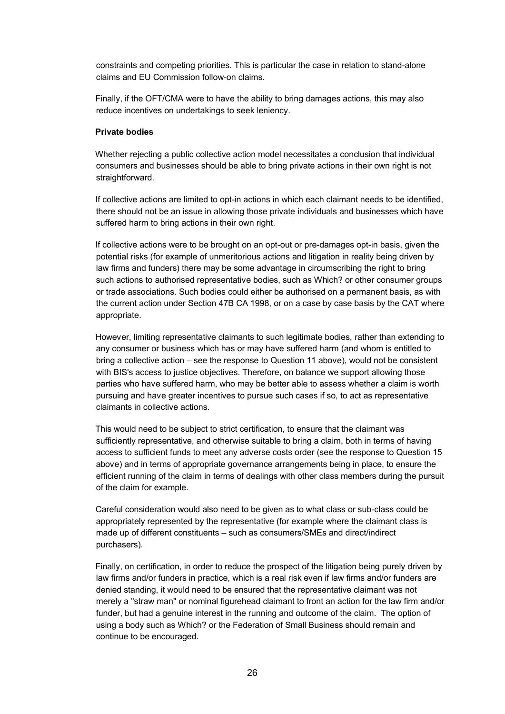constraints and competing priorities. This is particular the case in relation to stand-alone claims and EU Commission follow-on claims.

 Finally, if the OFT/CMA were to have the ability to bring damages actions, this may also reduce incentives on undertakings to seek leniency.

#### **Private bodies**

Whether rejecting a public collective action model necessitates a conclusion that individual consumers and businesses should be able to bring private actions in their own right is not straightforward.

 If collective actions are limited to opt-in actions in which each claimant needs to be identified, there should not be an issue in allowing those private individuals and businesses which have suffered harm to bring actions in their own right.

 If collective actions were to be brought on an opt-out or pre-damages opt-in basis, given the potential risks (for example of unmeritorious actions and litigation in reality being driven by law firms and funders) there may be some advantage in circumscribing the right to bring such actions to authorised representative bodies, such as Which? or other consumer groups or trade associations. Such bodies could either be authorised on a permanent basis, as with the current action under Section 47B CA 1998, or on a case by case basis by the CAT where appropriate.

 However, limiting representative claimants to such legitimate bodies, rather than extending to any consumer or business which has or may have suffered harm (and whom is entitled to bring a collective action – see the response to Question 11 above), would not be consistent with BIS's access to justice objectives. Therefore, on balance we support allowing those parties who have suffered harm, who may be better able to assess whether a claim is worth pursuing and have greater incentives to pursue such cases if so, to act as representative claimants in collective actions.

 This would need to be subject to strict certification, to ensure that the claimant was sufficiently representative, and otherwise suitable to bring a claim, both in terms of having access to sufficient funds to meet any adverse costs order (see the response to Question 15 above) and in terms of appropriate governance arrangements being in place, to ensure the efficient running of the claim in terms of dealings with other class members during the pursuit of the claim for example.

 Careful consideration would also need to be given as to what class or sub-class could be appropriately represented by the representative (for example where the claimant class is made up of different constituents – such as consumers/SMEs and direct/indirect purchasers).

 Finally, on certification, in order to reduce the prospect of the litigation being purely driven by law firms and/or funders in practice, which is a real risk even if law firms and/or funders are denied standing, it would need to be ensured that the representative claimant was not merely a "straw man" or nominal figurehead claimant to front an action for the law firm and/or funder, but had a genuine interest in the running and outcome of the claim. The option of using a body such as Which? or the Federation of Small Business should remain and continue to be encouraged.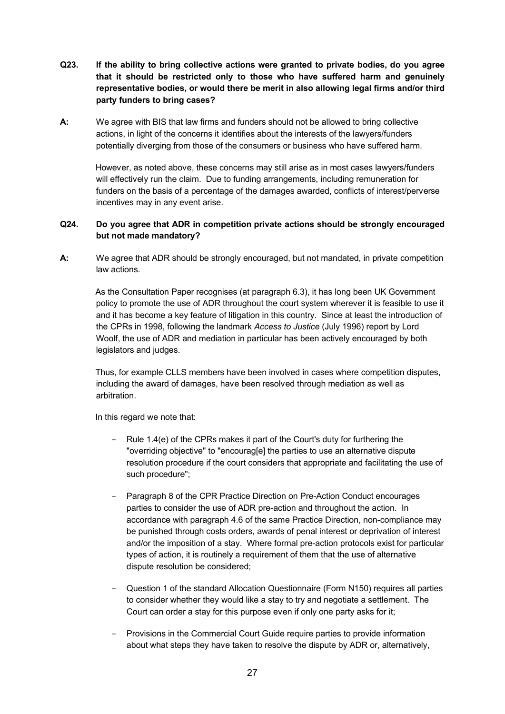- **Q23. If the ability to bring collective actions were granted to private bodies, do you agree that it should be restricted only to those who have suffered harm and genuinely representative bodies, or would there be merit in also allowing legal firms and/or third party funders to bring cases?**
- **A:** We agree with BIS that law firms and funders should not be allowed to bring collective actions, in light of the concerns it identifies about the interests of the lawyers/funders potentially diverging from those of the consumers or business who have suffered harm.

 However, as noted above, these concerns may still arise as in most cases lawyers/funders will effectively run the claim. Due to funding arrangements, including remuneration for funders on the basis of a percentage of the damages awarded, conflicts of interest/perverse incentives may in any event arise.

## **Q24. Do you agree that ADR in competition private actions should be strongly encouraged but not made mandatory?**

**A:** We agree that ADR should be strongly encouraged, but not mandated, in private competition law actions.

 As the Consultation Paper recognises (at paragraph 6.3), it has long been UK Government policy to promote the use of ADR throughout the court system wherever it is feasible to use it and it has become a key feature of litigation in this country. Since at least the introduction of the CPRs in 1998, following the landmark *Access to Justice* (July 1996) report by Lord Woolf, the use of ADR and mediation in particular has been actively encouraged by both legislators and judges.

 Thus, for example CLLS members have been involved in cases where competition disputes, including the award of damages, have been resolved through mediation as well as arbitration.

In this regard we note that:

- Rule 1.4(e) of the CPRs makes it part of the Court's duty for furthering the "overriding objective" to "encourag[e] the parties to use an alternative dispute resolution procedure if the court considers that appropriate and facilitating the use of such procedure";
- Paragraph 8 of the CPR Practice Direction on Pre-Action Conduct encourages parties to consider the use of ADR pre-action and throughout the action. In accordance with paragraph 4.6 of the same Practice Direction, non-compliance may be punished through costs orders, awards of penal interest or deprivation of interest and/or the imposition of a stay. Where formal pre-action protocols exist for particular types of action, it is routinely a requirement of them that the use of alternative dispute resolution be considered;
- Question 1 of the standard Allocation Questionnaire (Form N150) requires all parties to consider whether they would like a stay to try and negotiate a settlement. The Court can order a stay for this purpose even if only one party asks for it;
- Provisions in the Commercial Court Guide require parties to provide information about what steps they have taken to resolve the dispute by ADR or, alternatively,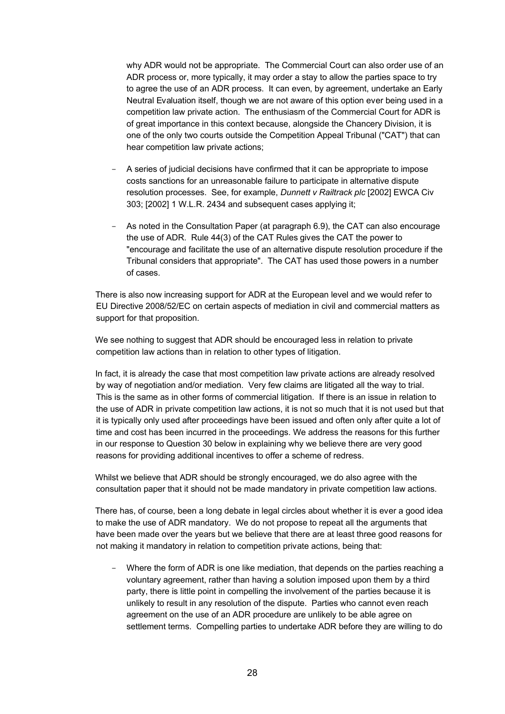why ADR would not be appropriate. The Commercial Court can also order use of an ADR process or, more typically, it may order a stay to allow the parties space to try to agree the use of an ADR process. It can even, by agreement, undertake an Early Neutral Evaluation itself, though we are not aware of this option ever being used in a competition law private action. The enthusiasm of the Commercial Court for ADR is of great importance in this context because, alongside the Chancery Division, it is one of the only two courts outside the Competition Appeal Tribunal ("CAT") that can hear competition law private actions;

- A series of judicial decisions have confirmed that it can be appropriate to impose costs sanctions for an unreasonable failure to participate in alternative dispute resolution processes. See, for example, *Dunnett v Railtrack plc* [2002] EWCA Civ 303; [2002] 1 W.L.R. 2434 and subsequent cases applying it;
- As noted in the Consultation Paper (at paragraph 6.9), the CAT can also encourage the use of ADR. Rule 44(3) of the CAT Rules gives the CAT the power to "encourage and facilitate the use of an alternative dispute resolution procedure if the Tribunal considers that appropriate". The CAT has used those powers in a number of cases.

 There is also now increasing support for ADR at the European level and we would refer to EU Directive 2008/52/EC on certain aspects of mediation in civil and commercial matters as support for that proposition.

We see nothing to suggest that ADR should be encouraged less in relation to private competition law actions than in relation to other types of litigation.

 In fact, it is already the case that most competition law private actions are already resolved by way of negotiation and/or mediation. Very few claims are litigated all the way to trial. This is the same as in other forms of commercial litigation. If there is an issue in relation to the use of ADR in private competition law actions, it is not so much that it is not used but that it is typically only used after proceedings have been issued and often only after quite a lot of time and cost has been incurred in the proceedings. We address the reasons for this further in our response to Question 30 below in explaining why we believe there are very good reasons for providing additional incentives to offer a scheme of redress.

 Whilst we believe that ADR should be strongly encouraged, we do also agree with the consultation paper that it should not be made mandatory in private competition law actions.

 There has, of course, been a long debate in legal circles about whether it is ever a good idea to make the use of ADR mandatory. We do not propose to repeat all the arguments that have been made over the years but we believe that there are at least three good reasons for not making it mandatory in relation to competition private actions, being that:

Where the form of ADR is one like mediation, that depends on the parties reaching a voluntary agreement, rather than having a solution imposed upon them by a third party, there is little point in compelling the involvement of the parties because it is unlikely to result in any resolution of the dispute. Parties who cannot even reach agreement on the use of an ADR procedure are unlikely to be able agree on settlement terms. Compelling parties to undertake ADR before they are willing to do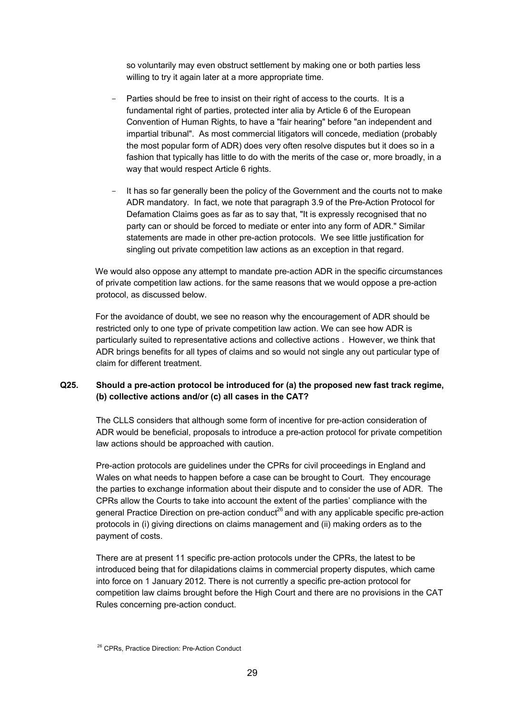so voluntarily may even obstruct settlement by making one or both parties less willing to try it again later at a more appropriate time.

- Parties should be free to insist on their right of access to the courts. It is a fundamental right of parties, protected inter alia by Article 6 of the European Convention of Human Rights, to have a "fair hearing" before "an independent and impartial tribunal". As most commercial litigators will concede, mediation (probably the most popular form of ADR) does very often resolve disputes but it does so in a fashion that typically has little to do with the merits of the case or, more broadly, in a way that would respect Article 6 rights.
- It has so far generally been the policy of the Government and the courts not to make ADR mandatory. In fact, we note that paragraph 3.9 of the Pre-Action Protocol for Defamation Claims goes as far as to say that, "It is expressly recognised that no party can or should be forced to mediate or enter into any form of ADR." Similar statements are made in other pre-action protocols. We see little justification for singling out private competition law actions as an exception in that regard.

 We would also oppose any attempt to mandate pre-action ADR in the specific circumstances of private competition law actions. for the same reasons that we would oppose a pre-action protocol, as discussed below.

 For the avoidance of doubt, we see no reason why the encouragement of ADR should be restricted only to one type of private competition law action. We can see how ADR is particularly suited to representative actions and collective actions . However, we think that ADR brings benefits for all types of claims and so would not single any out particular type of claim for different treatment.

#### **Q25. Should a pre-action protocol be introduced for (a) the proposed new fast track regime, (b) collective actions and/or (c) all cases in the CAT?**

The CLLS considers that although some form of incentive for pre-action consideration of ADR would be beneficial, proposals to introduce a pre-action protocol for private competition law actions should be approached with caution.

Pre-action protocols are guidelines under the CPRs for civil proceedings in England and Wales on what needs to happen before a case can be brought to Court. They encourage the parties to exchange information about their dispute and to consider the use of ADR. The CPRs allow the Courts to take into account the extent of the parties' compliance with the general Practice Direction on pre-action conduct<sup>26</sup> and with any applicable specific pre-action protocols in (i) giving directions on claims management and (ii) making orders as to the payment of costs.

There are at present 11 specific pre-action protocols under the CPRs, the latest to be introduced being that for dilapidations claims in commercial property disputes, which came into force on 1 January 2012. There is not currently a specific pre-action protocol for competition law claims brought before the High Court and there are no provisions in the CAT Rules concerning pre-action conduct.

<sup>&</sup>lt;sup>26</sup> CPRs, Practice Direction: Pre-Action Conduct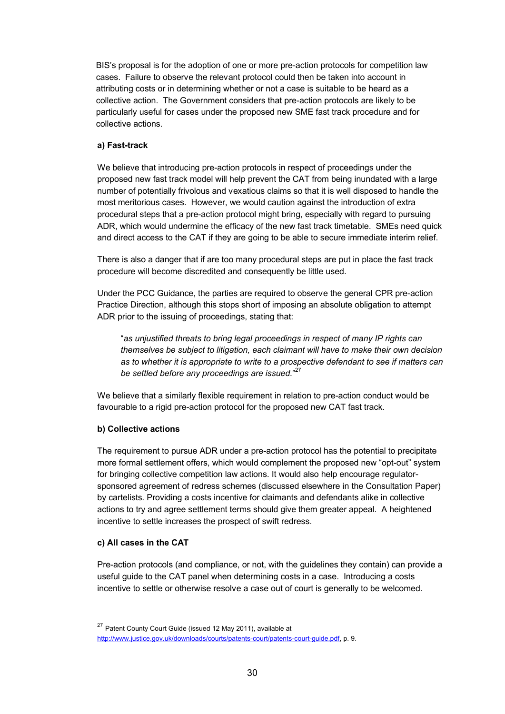BIS's proposal is for the adoption of one or more pre-action protocols for competition law cases. Failure to observe the relevant protocol could then be taken into account in attributing costs or in determining whether or not a case is suitable to be heard as a collective action. The Government considers that pre-action protocols are likely to be particularly useful for cases under the proposed new SME fast track procedure and for collective actions.

#### **a) Fast-track**

We believe that introducing pre-action protocols in respect of proceedings under the proposed new fast track model will help prevent the CAT from being inundated with a large number of potentially frivolous and vexatious claims so that it is well disposed to handle the most meritorious cases. However, we would caution against the introduction of extra procedural steps that a pre-action protocol might bring, especially with regard to pursuing ADR, which would undermine the efficacy of the new fast track timetable. SMEs need quick and direct access to the CAT if they are going to be able to secure immediate interim relief.

There is also a danger that if are too many procedural steps are put in place the fast track procedure will become discredited and consequently be little used.

Under the PCC Guidance, the parties are required to observe the general CPR pre-action Practice Direction, although this stops short of imposing an absolute obligation to attempt ADR prior to the issuing of proceedings, stating that:

"*as unjustified threats to bring legal proceedings in respect of many IP rights can themselves be subject to litigation, each claimant will have to make their own decision as to whether it is appropriate to write to a prospective defendant to see if matters can be settled before any proceedings are issued.*" 27

We believe that a similarly flexible requirement in relation to pre-action conduct would be favourable to a rigid pre-action protocol for the proposed new CAT fast track.

#### **b) Collective actions**

The requirement to pursue ADR under a pre-action protocol has the potential to precipitate more formal settlement offers, which would complement the proposed new "opt-out" system for bringing collective competition law actions. It would also help encourage regulatorsponsored agreement of redress schemes (discussed elsewhere in the Consultation Paper) by cartelists. Providing a costs incentive for claimants and defendants alike in collective actions to try and agree settlement terms should give them greater appeal. A heightened incentive to settle increases the prospect of swift redress.

#### **c) All cases in the CAT**

Pre-action protocols (and compliance, or not, with the guidelines they contain) can provide a useful guide to the CAT panel when determining costs in a case. Introducing a costs incentive to settle or otherwise resolve a case out of court is generally to be welcomed.

<sup>27</sup> Patent County Court Guide (issued 12 May 2011), available at http://www.justice.gov.uk/downloads/courts/patents-court/patents-court-guide.pdf, p. 9.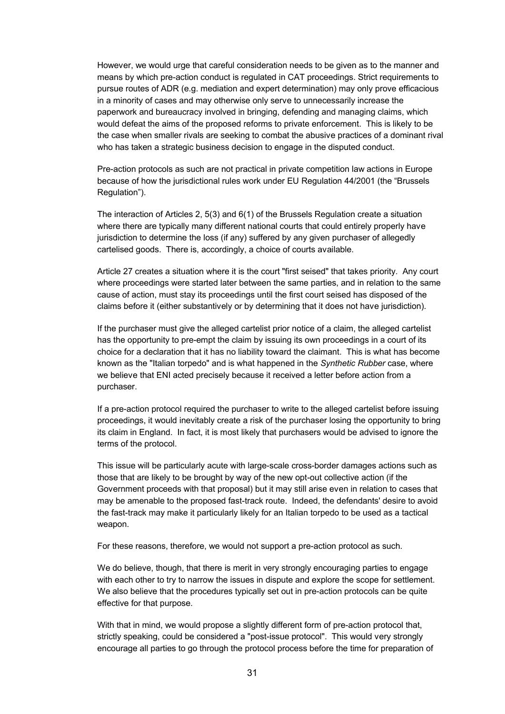However, we would urge that careful consideration needs to be given as to the manner and means by which pre-action conduct is regulated in CAT proceedings. Strict requirements to pursue routes of ADR (e.g. mediation and expert determination) may only prove efficacious in a minority of cases and may otherwise only serve to unnecessarily increase the paperwork and bureaucracy involved in bringing, defending and managing claims, which would defeat the aims of the proposed reforms to private enforcement. This is likely to be the case when smaller rivals are seeking to combat the abusive practices of a dominant rival who has taken a strategic business decision to engage in the disputed conduct.

Pre-action protocols as such are not practical in private competition law actions in Europe because of how the jurisdictional rules work under EU Regulation 44/2001 (the "Brussels Regulation").

The interaction of Articles 2, 5(3) and 6(1) of the Brussels Regulation create a situation where there are typically many different national courts that could entirely properly have jurisdiction to determine the loss (if any) suffered by any given purchaser of allegedly cartelised goods. There is, accordingly, a choice of courts available.

Article 27 creates a situation where it is the court "first seised" that takes priority. Any court where proceedings were started later between the same parties, and in relation to the same cause of action, must stay its proceedings until the first court seised has disposed of the claims before it (either substantively or by determining that it does not have jurisdiction).

If the purchaser must give the alleged cartelist prior notice of a claim, the alleged cartelist has the opportunity to pre-empt the claim by issuing its own proceedings in a court of its choice for a declaration that it has no liability toward the claimant. This is what has become known as the "Italian torpedo" and is what happened in the *Synthetic Rubber* case, where we believe that ENI acted precisely because it received a letter before action from a purchaser.

If a pre-action protocol required the purchaser to write to the alleged cartelist before issuing proceedings, it would inevitably create a risk of the purchaser losing the opportunity to bring its claim in England. In fact, it is most likely that purchasers would be advised to ignore the terms of the protocol.

This issue will be particularly acute with large-scale cross-border damages actions such as those that are likely to be brought by way of the new opt-out collective action (if the Government proceeds with that proposal) but it may still arise even in relation to cases that may be amenable to the proposed fast-track route. Indeed, the defendants' desire to avoid the fast-track may make it particularly likely for an Italian torpedo to be used as a tactical weapon.

For these reasons, therefore, we would not support a pre-action protocol as such.

We do believe, though, that there is merit in very strongly encouraging parties to engage with each other to try to narrow the issues in dispute and explore the scope for settlement. We also believe that the procedures typically set out in pre-action protocols can be quite effective for that purpose.

With that in mind, we would propose a slightly different form of pre-action protocol that, strictly speaking, could be considered a "post-issue protocol". This would very strongly encourage all parties to go through the protocol process before the time for preparation of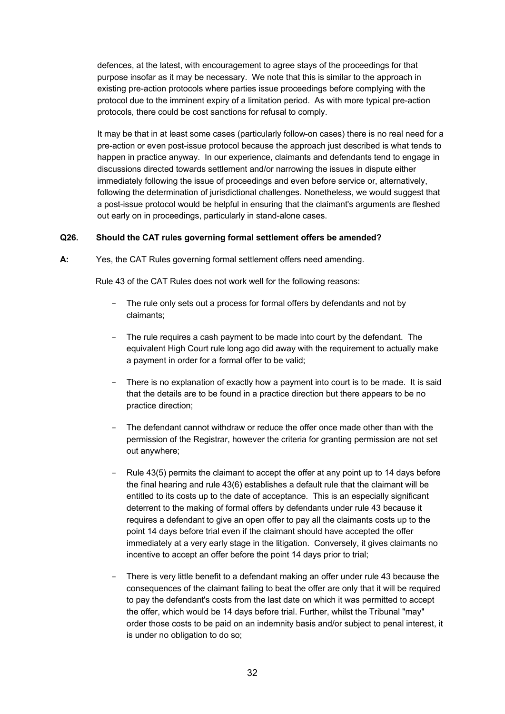defences, at the latest, with encouragement to agree stays of the proceedings for that purpose insofar as it may be necessary. We note that this is similar to the approach in existing pre-action protocols where parties issue proceedings before complying with the protocol due to the imminent expiry of a limitation period. As with more typical pre-action protocols, there could be cost sanctions for refusal to comply.

It may be that in at least some cases (particularly follow-on cases) there is no real need for a pre-action or even post-issue protocol because the approach just described is what tends to happen in practice anyway. In our experience, claimants and defendants tend to engage in discussions directed towards settlement and/or narrowing the issues in dispute either immediately following the issue of proceedings and even before service or, alternatively, following the determination of jurisdictional challenges. Nonetheless, we would suggest that a post-issue protocol would be helpful in ensuring that the claimant's arguments are fleshed out early on in proceedings, particularly in stand-alone cases.

#### **Q26. Should the CAT rules governing formal settlement offers be amended?**

**A:** Yes, the CAT Rules governing formal settlement offers need amending.

Rule 43 of the CAT Rules does not work well for the following reasons:

- The rule only sets out a process for formal offers by defendants and not by claimants;
- The rule requires a cash payment to be made into court by the defendant. The equivalent High Court rule long ago did away with the requirement to actually make a payment in order for a formal offer to be valid;
- There is no explanation of exactly how a payment into court is to be made. It is said that the details are to be found in a practice direction but there appears to be no practice direction;
- The defendant cannot withdraw or reduce the offer once made other than with the permission of the Registrar, however the criteria for granting permission are not set out anywhere;
- Rule 43(5) permits the claimant to accept the offer at any point up to 14 days before the final hearing and rule 43(6) establishes a default rule that the claimant will be entitled to its costs up to the date of acceptance. This is an especially significant deterrent to the making of formal offers by defendants under rule 43 because it requires a defendant to give an open offer to pay all the claimants costs up to the point 14 days before trial even if the claimant should have accepted the offer immediately at a very early stage in the litigation. Conversely, it gives claimants no incentive to accept an offer before the point 14 days prior to trial;
- There is very little benefit to a defendant making an offer under rule 43 because the consequences of the claimant failing to beat the offer are only that it will be required to pay the defendant's costs from the last date on which it was permitted to accept the offer, which would be 14 days before trial. Further, whilst the Tribunal "may" order those costs to be paid on an indemnity basis and/or subject to penal interest, it is under no obligation to do so;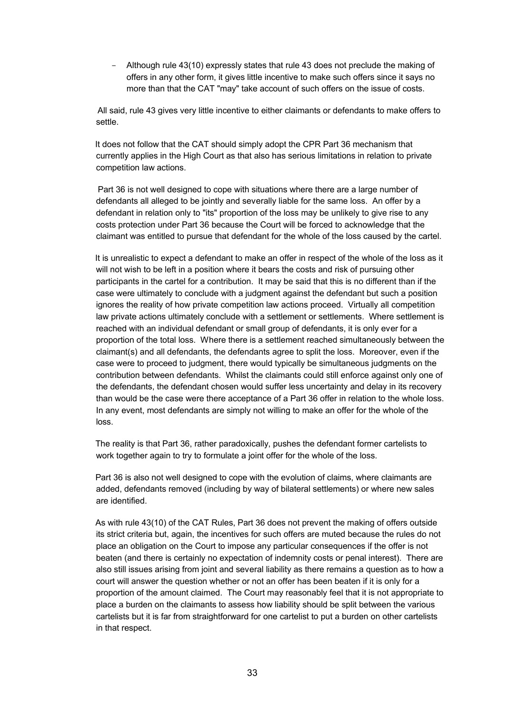- Although rule 43(10) expressly states that rule 43 does not preclude the making of offers in any other form, it gives little incentive to make such offers since it says no more than that the CAT "may" take account of such offers on the issue of costs.

 All said, rule 43 gives very little incentive to either claimants or defendants to make offers to settle.

 It does not follow that the CAT should simply adopt the CPR Part 36 mechanism that currently applies in the High Court as that also has serious limitations in relation to private competition law actions.

 Part 36 is not well designed to cope with situations where there are a large number of defendants all alleged to be jointly and severally liable for the same loss. An offer by a defendant in relation only to "its" proportion of the loss may be unlikely to give rise to any costs protection under Part 36 because the Court will be forced to acknowledge that the claimant was entitled to pursue that defendant for the whole of the loss caused by the cartel.

 It is unrealistic to expect a defendant to make an offer in respect of the whole of the loss as it will not wish to be left in a position where it bears the costs and risk of pursuing other participants in the cartel for a contribution. It may be said that this is no different than if the case were ultimately to conclude with a judgment against the defendant but such a position ignores the reality of how private competition law actions proceed. Virtually all competition law private actions ultimately conclude with a settlement or settlements. Where settlement is reached with an individual defendant or small group of defendants, it is only ever for a proportion of the total loss. Where there is a settlement reached simultaneously between the claimant(s) and all defendants, the defendants agree to split the loss. Moreover, even if the case were to proceed to judgment, there would typically be simultaneous judgments on the contribution between defendants. Whilst the claimants could still enforce against only one of the defendants, the defendant chosen would suffer less uncertainty and delay in its recovery than would be the case were there acceptance of a Part 36 offer in relation to the whole loss. In any event, most defendants are simply not willing to make an offer for the whole of the loss.

 The reality is that Part 36, rather paradoxically, pushes the defendant former cartelists to work together again to try to formulate a joint offer for the whole of the loss.

 Part 36 is also not well designed to cope with the evolution of claims, where claimants are added, defendants removed (including by way of bilateral settlements) or where new sales are identified.

 As with rule 43(10) of the CAT Rules, Part 36 does not prevent the making of offers outside its strict criteria but, again, the incentives for such offers are muted because the rules do not place an obligation on the Court to impose any particular consequences if the offer is not beaten (and there is certainly no expectation of indemnity costs or penal interest). There are also still issues arising from joint and several liability as there remains a question as to how a court will answer the question whether or not an offer has been beaten if it is only for a proportion of the amount claimed. The Court may reasonably feel that it is not appropriate to place a burden on the claimants to assess how liability should be split between the various cartelists but it is far from straightforward for one cartelist to put a burden on other cartelists in that respect.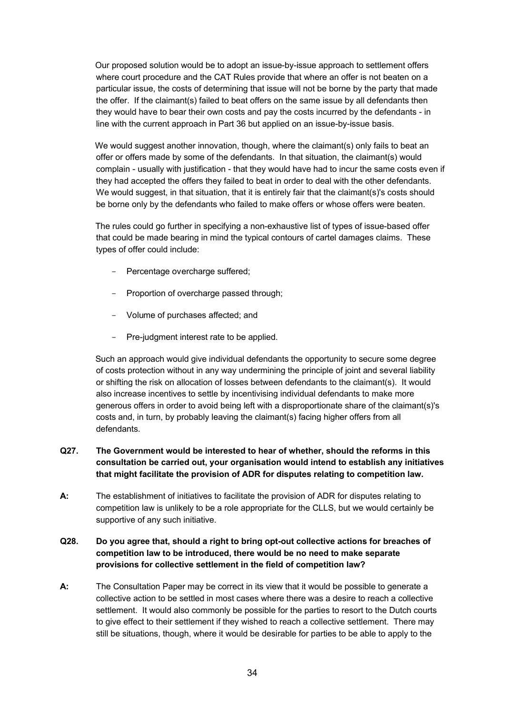Our proposed solution would be to adopt an issue-by-issue approach to settlement offers where court procedure and the CAT Rules provide that where an offer is not beaten on a particular issue, the costs of determining that issue will not be borne by the party that made the offer. If the claimant(s) failed to beat offers on the same issue by all defendants then they would have to bear their own costs and pay the costs incurred by the defendants - in line with the current approach in Part 36 but applied on an issue-by-issue basis.

We would suggest another innovation, though, where the claimant(s) only fails to beat an offer or offers made by some of the defendants. In that situation, the claimant(s) would complain - usually with justification - that they would have had to incur the same costs even if they had accepted the offers they failed to beat in order to deal with the other defendants. We would suggest, in that situation, that it is entirely fair that the claimant(s)'s costs should be borne only by the defendants who failed to make offers or whose offers were beaten.

 The rules could go further in specifying a non-exhaustive list of types of issue-based offer that could be made bearing in mind the typical contours of cartel damages claims. These types of offer could include:

- Percentage overcharge suffered;
- Proportion of overcharge passed through;
- Volume of purchases affected; and
- Pre-judgment interest rate to be applied.

 Such an approach would give individual defendants the opportunity to secure some degree of costs protection without in any way undermining the principle of joint and several liability or shifting the risk on allocation of losses between defendants to the claimant(s). It would also increase incentives to settle by incentivising individual defendants to make more generous offers in order to avoid being left with a disproportionate share of the claimant(s)'s costs and, in turn, by probably leaving the claimant(s) facing higher offers from all defendants.

# **Q27. The Government would be interested to hear of whether, should the reforms in this consultation be carried out, your organisation would intend to establish any initiatives that might facilitate the provision of ADR for disputes relating to competition law.**

**A:** The establishment of initiatives to facilitate the provision of ADR for disputes relating to competition law is unlikely to be a role appropriate for the CLLS, but we would certainly be supportive of any such initiative.

# **Q28. Do you agree that, should a right to bring opt-out collective actions for breaches of competition law to be introduced, there would be no need to make separate provisions for collective settlement in the field of competition law?**

**A:** The Consultation Paper may be correct in its view that it would be possible to generate a collective action to be settled in most cases where there was a desire to reach a collective settlement. It would also commonly be possible for the parties to resort to the Dutch courts to give effect to their settlement if they wished to reach a collective settlement. There may still be situations, though, where it would be desirable for parties to be able to apply to the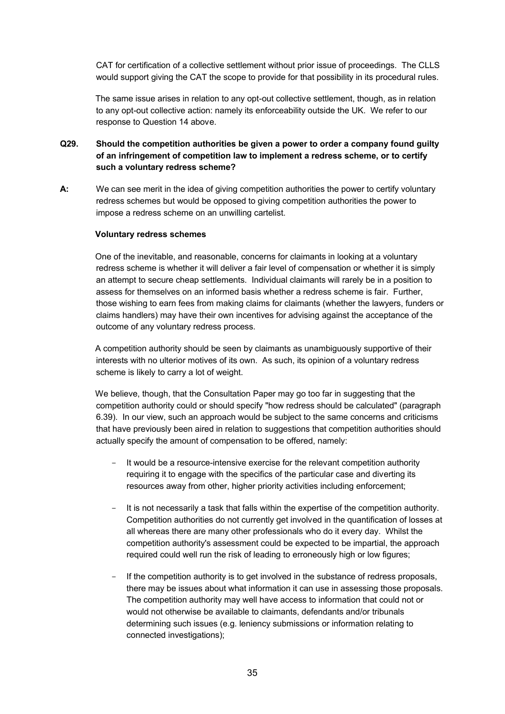CAT for certification of a collective settlement without prior issue of proceedings. The CLLS would support giving the CAT the scope to provide for that possibility in its procedural rules.

The same issue arises in relation to any opt-out collective settlement, though, as in relation to any opt-out collective action: namely its enforceability outside the UK. We refer to our response to Question 14 above.

# **Q29. Should the competition authorities be given a power to order a company found guilty of an infringement of competition law to implement a redress scheme, or to certify such a voluntary redress scheme?**

**A:** We can see merit in the idea of giving competition authorities the power to certify voluntary redress schemes but would be opposed to giving competition authorities the power to impose a redress scheme on an unwilling cartelist.

#### **Voluntary redress schemes**

 One of the inevitable, and reasonable, concerns for claimants in looking at a voluntary redress scheme is whether it will deliver a fair level of compensation or whether it is simply an attempt to secure cheap settlements. Individual claimants will rarely be in a position to assess for themselves on an informed basis whether a redress scheme is fair. Further, those wishing to earn fees from making claims for claimants (whether the lawyers, funders or claims handlers) may have their own incentives for advising against the acceptance of the outcome of any voluntary redress process.

 A competition authority should be seen by claimants as unambiguously supportive of their interests with no ulterior motives of its own. As such, its opinion of a voluntary redress scheme is likely to carry a lot of weight.

 We believe, though, that the Consultation Paper may go too far in suggesting that the competition authority could or should specify "how redress should be calculated" (paragraph 6.39). In our view, such an approach would be subject to the same concerns and criticisms that have previously been aired in relation to suggestions that competition authorities should actually specify the amount of compensation to be offered, namely:

- It would be a resource-intensive exercise for the relevant competition authority requiring it to engage with the specifics of the particular case and diverting its resources away from other, higher priority activities including enforcement;
- It is not necessarily a task that falls within the expertise of the competition authority. Competition authorities do not currently get involved in the quantification of losses at all whereas there are many other professionals who do it every day. Whilst the competition authority's assessment could be expected to be impartial, the approach required could well run the risk of leading to erroneously high or low figures;
- If the competition authority is to get involved in the substance of redress proposals, there may be issues about what information it can use in assessing those proposals. The competition authority may well have access to information that could not or would not otherwise be available to claimants, defendants and/or tribunals determining such issues (e.g. leniency submissions or information relating to connected investigations);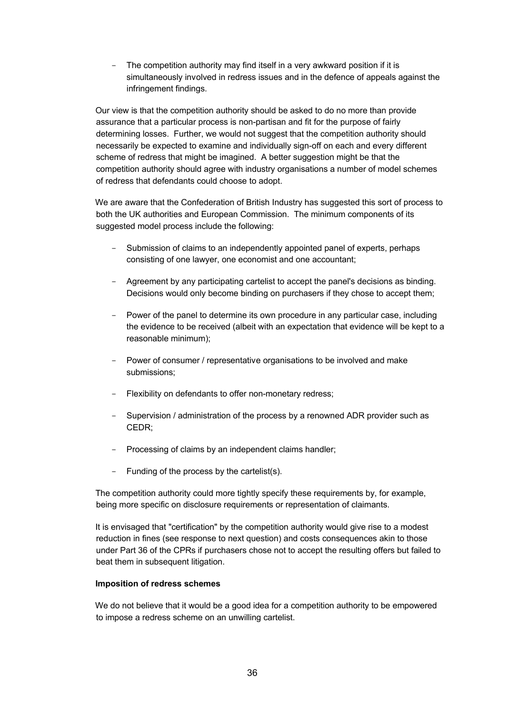The competition authority may find itself in a very awkward position if it is simultaneously involved in redress issues and in the defence of appeals against the infringement findings.

 Our view is that the competition authority should be asked to do no more than provide assurance that a particular process is non-partisan and fit for the purpose of fairly determining losses. Further, we would not suggest that the competition authority should necessarily be expected to examine and individually sign-off on each and every different scheme of redress that might be imagined. A better suggestion might be that the competition authority should agree with industry organisations a number of model schemes of redress that defendants could choose to adopt.

We are aware that the Confederation of British Industry has suggested this sort of process to both the UK authorities and European Commission. The minimum components of its suggested model process include the following:

- Submission of claims to an independently appointed panel of experts, perhaps consisting of one lawyer, one economist and one accountant;
- Agreement by any participating cartelist to accept the panel's decisions as binding. Decisions would only become binding on purchasers if they chose to accept them;
- Power of the panel to determine its own procedure in any particular case, including the evidence to be received (albeit with an expectation that evidence will be kept to a reasonable minimum);
- Power of consumer / representative organisations to be involved and make submissions;
- Flexibility on defendants to offer non-monetary redress;
- Supervision / administration of the process by a renowned ADR provider such as CEDR;
- Processing of claims by an independent claims handler;
- Funding of the process by the cartelist(s).

 The competition authority could more tightly specify these requirements by, for example, being more specific on disclosure requirements or representation of claimants.

 It is envisaged that "certification" by the competition authority would give rise to a modest reduction in fines (see response to next question) and costs consequences akin to those under Part 36 of the CPRs if purchasers chose not to accept the resulting offers but failed to beat them in subsequent litigation.

#### **Imposition of redress schemes**

 We do not believe that it would be a good idea for a competition authority to be empowered to impose a redress scheme on an unwilling cartelist.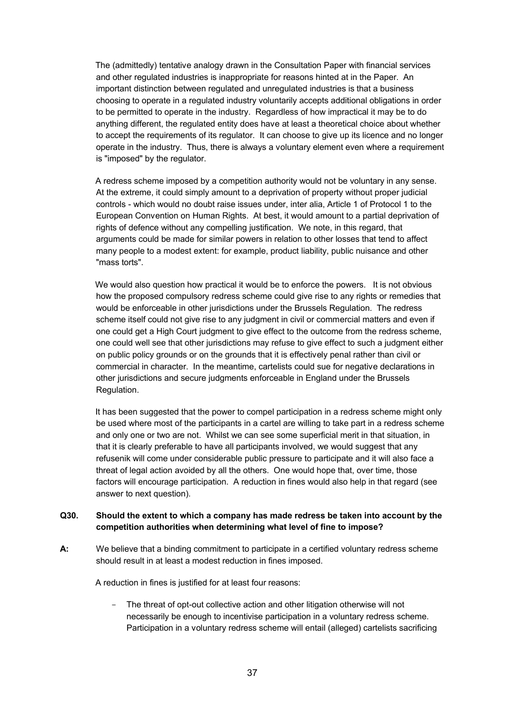The (admittedly) tentative analogy drawn in the Consultation Paper with financial services and other regulated industries is inappropriate for reasons hinted at in the Paper. An important distinction between regulated and unregulated industries is that a business choosing to operate in a regulated industry voluntarily accepts additional obligations in order to be permitted to operate in the industry. Regardless of how impractical it may be to do anything different, the regulated entity does have at least a theoretical choice about whether to accept the requirements of its regulator. It can choose to give up its licence and no longer operate in the industry. Thus, there is always a voluntary element even where a requirement is "imposed" by the regulator.

 A redress scheme imposed by a competition authority would not be voluntary in any sense. At the extreme, it could simply amount to a deprivation of property without proper judicial controls - which would no doubt raise issues under, inter alia, Article 1 of Protocol 1 to the European Convention on Human Rights. At best, it would amount to a partial deprivation of rights of defence without any compelling justification. We note, in this regard, that arguments could be made for similar powers in relation to other losses that tend to affect many people to a modest extent: for example, product liability, public nuisance and other "mass torts".

We would also question how practical it would be to enforce the powers. It is not obvious how the proposed compulsory redress scheme could give rise to any rights or remedies that would be enforceable in other jurisdictions under the Brussels Regulation. The redress scheme itself could not give rise to any judgment in civil or commercial matters and even if one could get a High Court judgment to give effect to the outcome from the redress scheme, one could well see that other jurisdictions may refuse to give effect to such a judgment either on public policy grounds or on the grounds that it is effectively penal rather than civil or commercial in character. In the meantime, cartelists could sue for negative declarations in other jurisdictions and secure judgments enforceable in England under the Brussels Regulation.

 It has been suggested that the power to compel participation in a redress scheme might only be used where most of the participants in a cartel are willing to take part in a redress scheme and only one or two are not. Whilst we can see some superficial merit in that situation, in that it is clearly preferable to have all participants involved, we would suggest that any refusenik will come under considerable public pressure to participate and it will also face a threat of legal action avoided by all the others. One would hope that, over time, those factors will encourage participation. A reduction in fines would also help in that regard (see answer to next question).

# **Q30. Should the extent to which a company has made redress be taken into account by the competition authorities when determining what level of fine to impose?**

**A:** We believe that a binding commitment to participate in a certified voluntary redress scheme should result in at least a modest reduction in fines imposed.

A reduction in fines is justified for at least four reasons:

The threat of opt-out collective action and other litigation otherwise will not necessarily be enough to incentivise participation in a voluntary redress scheme. Participation in a voluntary redress scheme will entail (alleged) cartelists sacrificing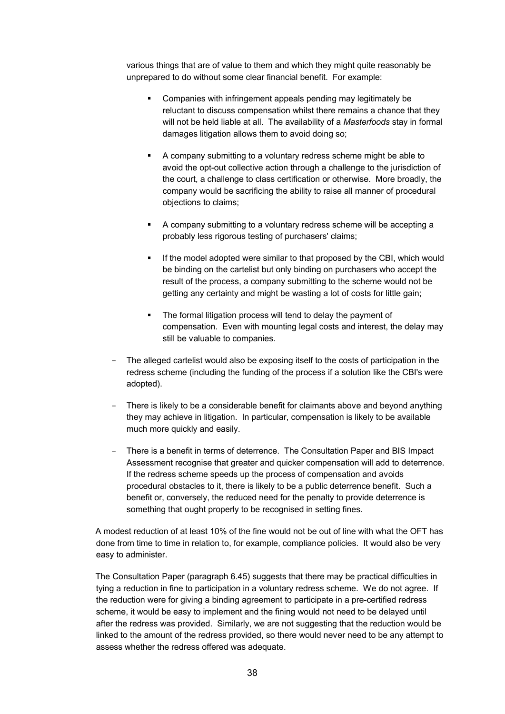various things that are of value to them and which they might quite reasonably be unprepared to do without some clear financial benefit. For example:

- Companies with infringement appeals pending may legitimately be reluctant to discuss compensation whilst there remains a chance that they will not be held liable at all. The availability of a *Masterfoods* stay in formal damages litigation allows them to avoid doing so;
- A company submitting to a voluntary redress scheme might be able to avoid the opt-out collective action through a challenge to the jurisdiction of the court, a challenge to class certification or otherwise. More broadly, the company would be sacrificing the ability to raise all manner of procedural objections to claims;
- A company submitting to a voluntary redress scheme will be accepting a probably less rigorous testing of purchasers' claims;
- If the model adopted were similar to that proposed by the CBI, which would be binding on the cartelist but only binding on purchasers who accept the result of the process, a company submitting to the scheme would not be getting any certainty and might be wasting a lot of costs for little gain;
- The formal litigation process will tend to delay the payment of compensation. Even with mounting legal costs and interest, the delay may still be valuable to companies.
- The alleged cartelist would also be exposing itself to the costs of participation in the redress scheme (including the funding of the process if a solution like the CBI's were adopted).
- There is likely to be a considerable benefit for claimants above and beyond anything they may achieve in litigation. In particular, compensation is likely to be available much more quickly and easily.
- There is a benefit in terms of deterrence. The Consultation Paper and BIS Impact Assessment recognise that greater and quicker compensation will add to deterrence. If the redress scheme speeds up the process of compensation and avoids procedural obstacles to it, there is likely to be a public deterrence benefit. Such a benefit or, conversely, the reduced need for the penalty to provide deterrence is something that ought properly to be recognised in setting fines.

 A modest reduction of at least 10% of the fine would not be out of line with what the OFT has done from time to time in relation to, for example, compliance policies. It would also be very easy to administer.

 The Consultation Paper (paragraph 6.45) suggests that there may be practical difficulties in tying a reduction in fine to participation in a voluntary redress scheme. We do not agree. If the reduction were for giving a binding agreement to participate in a pre-certified redress scheme, it would be easy to implement and the fining would not need to be delayed until after the redress was provided. Similarly, we are not suggesting that the reduction would be linked to the amount of the redress provided, so there would never need to be any attempt to assess whether the redress offered was adequate.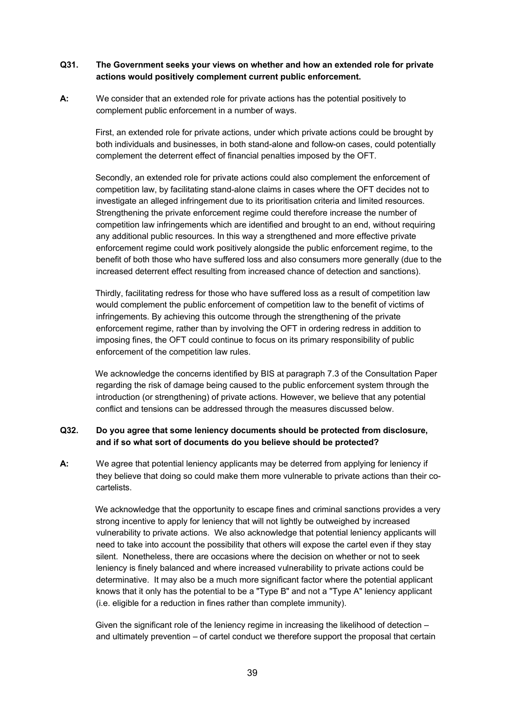#### **Q31. The Government seeks your views on whether and how an extended role for private actions would positively complement current public enforcement.**

**A:** We consider that an extended role for private actions has the potential positively to complement public enforcement in a number of ways.

> First, an extended role for private actions, under which private actions could be brought by both individuals and businesses, in both stand-alone and follow-on cases, could potentially complement the deterrent effect of financial penalties imposed by the OFT.

 Secondly, an extended role for private actions could also complement the enforcement of competition law, by facilitating stand-alone claims in cases where the OFT decides not to investigate an alleged infringement due to its prioritisation criteria and limited resources. Strengthening the private enforcement regime could therefore increase the number of competition law infringements which are identified and brought to an end, without requiring any additional public resources. In this way a strengthened and more effective private enforcement regime could work positively alongside the public enforcement regime, to the benefit of both those who have suffered loss and also consumers more generally (due to the increased deterrent effect resulting from increased chance of detection and sanctions).

 Thirdly, facilitating redress for those who have suffered loss as a result of competition law would complement the public enforcement of competition law to the benefit of victims of infringements. By achieving this outcome through the strengthening of the private enforcement regime, rather than by involving the OFT in ordering redress in addition to imposing fines, the OFT could continue to focus on its primary responsibility of public enforcement of the competition law rules.

 We acknowledge the concerns identified by BIS at paragraph 7.3 of the Consultation Paper regarding the risk of damage being caused to the public enforcement system through the introduction (or strengthening) of private actions. However, we believe that any potential conflict and tensions can be addressed through the measures discussed below.

#### **Q32. Do you agree that some leniency documents should be protected from disclosure, and if so what sort of documents do you believe should be protected?**

**A:** We agree that potential leniency applicants may be deterred from applying for leniency if they believe that doing so could make them more vulnerable to private actions than their cocartelists.

 We acknowledge that the opportunity to escape fines and criminal sanctions provides a very strong incentive to apply for leniency that will not lightly be outweighed by increased vulnerability to private actions. We also acknowledge that potential leniency applicants will need to take into account the possibility that others will expose the cartel even if they stay silent. Nonetheless, there are occasions where the decision on whether or not to seek leniency is finely balanced and where increased vulnerability to private actions could be determinative. It may also be a much more significant factor where the potential applicant knows that it only has the potential to be a "Type B" and not a "Type A" leniency applicant (i.e. eligible for a reduction in fines rather than complete immunity).

 Given the significant role of the leniency regime in increasing the likelihood of detection – and ultimately prevention – of cartel conduct we therefore support the proposal that certain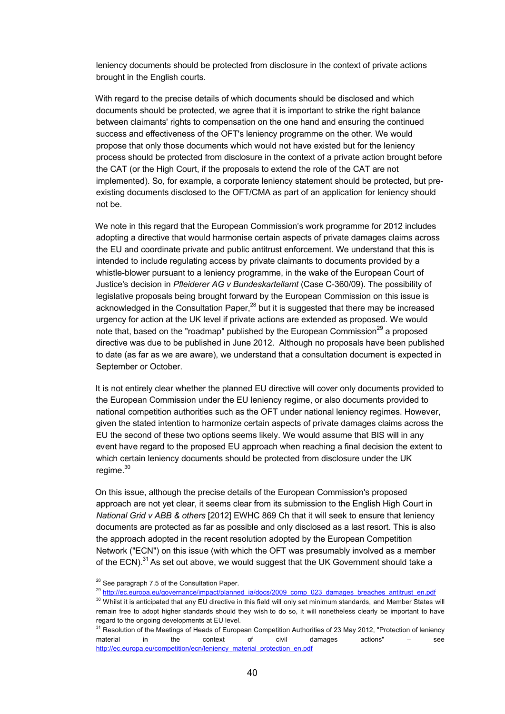leniency documents should be protected from disclosure in the context of private actions brought in the English courts.

 With regard to the precise details of which documents should be disclosed and which documents should be protected, we agree that it is important to strike the right balance between claimants' rights to compensation on the one hand and ensuring the continued success and effectiveness of the OFT's leniency programme on the other. We would propose that only those documents which would not have existed but for the leniency process should be protected from disclosure in the context of a private action brought before the CAT (or the High Court, if the proposals to extend the role of the CAT are not implemented). So, for example, a corporate leniency statement should be protected, but preexisting documents disclosed to the OFT/CMA as part of an application for leniency should not be.

 We note in this regard that the European Commission's work programme for 2012 includes adopting a directive that would harmonise certain aspects of private damages claims across the EU and coordinate private and public antitrust enforcement. We understand that this is intended to include regulating access by private claimants to documents provided by a whistle-blower pursuant to a leniency programme, in the wake of the European Court of Justice's decision in *Pfleiderer AG v Bundeskartellamt* (Case C-360/09). The possibility of legislative proposals being brought forward by the European Commission on this issue is acknowledged in the Consultation Paper,<sup>28</sup> but it is suggested that there may be increased urgency for action at the UK level if private actions are extended as proposed. We would note that, based on the "roadmap" published by the European Commission $^{29}$  a proposed directive was due to be published in June 2012. Although no proposals have been published to date (as far as we are aware), we understand that a consultation document is expected in September or October.

 It is not entirely clear whether the planned EU directive will cover only documents provided to the European Commission under the EU leniency regime, or also documents provided to national competition authorities such as the OFT under national leniency regimes. However, given the stated intention to harmonize certain aspects of private damages claims across the EU the second of these two options seems likely. We would assume that BIS will in any event have regard to the proposed EU approach when reaching a final decision the extent to which certain leniency documents should be protected from disclosure under the UK regime.<sup>30</sup>

 On this issue, although the precise details of the European Commission's proposed approach are not yet clear, it seems clear from its submission to the English High Court in *National Grid v ABB & others* [2012] EWHC 869 Ch that it will seek to ensure that leniency documents are protected as far as possible and only disclosed as a last resort. This is also the approach adopted in the recent resolution adopted by the European Competition Network ("ECN") on this issue (with which the OFT was presumably involved as a member of the ECN). $^{31}$  As set out above, we would suggest that the UK Government should take a

<sup>&</sup>lt;sup>28</sup> See paragraph 7.5 of the Consultation Paper.

<sup>&</sup>lt;sup>29</sup> http://ec.europa.eu/governance/impact/planned\_ia/docs/2009\_comp\_023\_damages\_breaches\_antitrust\_en.pdf

<sup>&</sup>lt;sup>30</sup> Whilst it is anticipated that any EU directive in this field will only set minimum standards, and Member States will remain free to adopt higher standards should they wish to do so, it will nonetheless clearly be important to have regard to the ongoing developments at EU level.

<sup>&</sup>lt;sup>31</sup> Resolution of the Meetings of Heads of European Competition Authorities of 23 May 2012, "Protection of leniency material in the context of civil damages actions" – see http://ec.europa.eu/competition/ecn/leniency\_material\_protection\_en.pdf